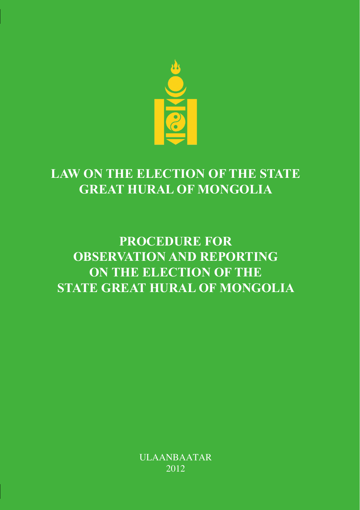

# **LAW ON THE ELECTION OF THE STATE GREAT HURAL OF MONGOLIA**

# **PROCEDURE FOR OBSERVATION AND REPORTING ON THE ELECTION OF THE STATE GREAT HURAL OF MONGOLIA**

ULAANBAATAR 2012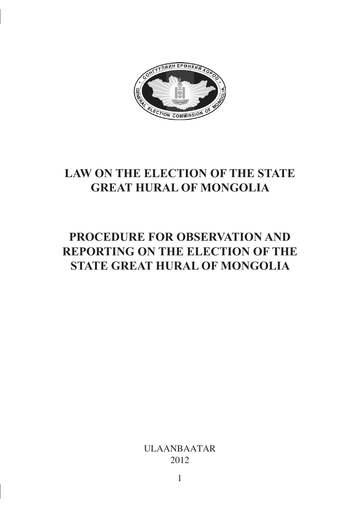

## **LAW ON THE ELECTION OF THE STATE GREAT HURAL OF MONGOLIA**

## **PROCEDURE FOR OBSERVATION AND REPORTING ON THE ELECTION OF THE STATE GREAT HURAL OF MONGOLIA**

ULAANBAATAR 2012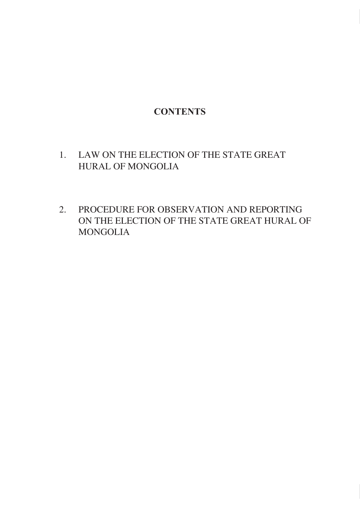## **CONTENTS**

- 1. LAW ON THE ELECTION OF THE STATE GREAT HURAL OF MONGOLIA
- 2. PROCEDURE FOR OBSERVATION AND REPORTING ON THE ELECTION OF THE STATE GREAT HURAL OF MONGOLIA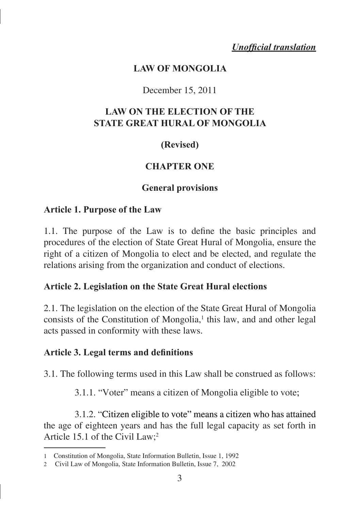*Unofficial translation*

#### **LAW OF MONGOLIA**

#### December 15, 2011

#### **LAW ON THE ELECTION OF THE STATE GREAT HURAL OF MONGOLIA**

## **(Revised)**

#### **CHAPTER ONE**

#### **General provisions**

#### **Article 1. Purpose of the Law**

1.1. The purpose of the Law is to define the basic principles and procedures of the election of State Great Hural of Mongolia, ensure the right of a citizen of Mongolia to elect and be elected, and regulate the relations arising from the organization and conduct of elections.

#### **Article 2. Legislation on the State Great Hural elections**

2.1. The legislation on the election of the State Great Hural of Mongolia consists of the Constitution of Mongolia,<sup>1</sup> this law, and and other legal acts passed in conformity with these laws.

#### **Article 3. Legal terms and definitions**

3.1. The following terms used in this Law shall be construed as follows:

3.1.1. "Voter" means a citizen of Mongolia eligible to vote;

3.1.2. "Citizen eligible to vote" means a citizen who has attained the age of eighteen years and has the full legal capacity as set forth in Article 15.1 of the Civil Law; 2

Constitution of Mongolia, State Information Bulletin, Issue 1, 1992

Civil Law of Mongolia, State Information Bulletin, Issue 7, 2002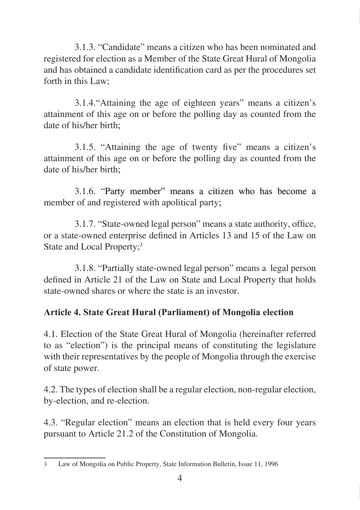3.1.3. "Candidate" means a citizen who has been nominated and registered for election as a Member of the State Great Hural of Mongolia and has obtained a candidate identification card as per the procedures set forth in this Law;

3.1.4."Attaining the age of eighteen years" means a citizen's attainment of this age on or before the polling day as counted from the date of his/her birth:

3.1.5. "Attaining the age of twenty five" means a citizen's attainment of this age on or before the polling day as counted from the date of his/her birth:

3.1.6. "�Party member" means a citizen who has become a member of and registered with apolitical party;

3.1.7. "State-owned legal person" means a state authority, office, or a state-owned enterprise defined in Articles 13 and 15 of the Law on State and Local Property;

3.1.8. "Partially state-owned legal person" means a legal person defined in Article 21 of the Law on State and Local Property that holds state-owned shares or where the state is an investor.

## **Article 4. State Great Hural (Parliament) of Mongolia election**

4.1. Election of the State Great Hural of Mongolia (hereinafter referred to as "election") is the principal means of constituting the legislature with their representatives by the people of Mongolia through the exercise of state power.

4.2. The types of election shall be a regular election, non-regular election, by-election, and re-election.

4.3. "Regular election" means an election that is held every four years pursuant to Article 21.2 of the Constitution of Mongolia.

Law of Mongolia on Public Property, State Information Bulletin, Issue 11, 1996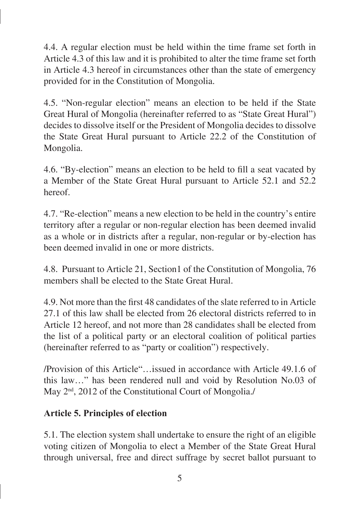4.4. A regular election must be held within the time frame set forth in Article 4.3 of this law and it is prohibited to alter the time frame set forth in Article 4.3 hereof in circumstances other than the state of emergency provided for in the Constitution of Mongolia.

4.5. "Non-regular election" means an election to be held if the State Great Hural of Mongolia (hereinafter referred to as "State Great Hural") decides to dissolve itself or the President of Mongolia decides to dissolve the State Great Hural pursuant to Article 22.2 of the Constitution of Mongolia.

4.6. "By-election" means an election to be held to fill a seat vacated by a Member of the State Great Hural pursuant to Article 52.1 and 52.2 hereof.

4.7. "Re-election" means a new election to be held in the country's entire territory after a regular or non-regular election has been deemed invalid as a whole or in districts after a regular, non-regular or by-election has been deemed invalid in one or more districts.

4.8. Pursuant to Article 21, Section1 of the Constitution of Mongolia, 76 members shall be elected to the State Great Hural.

4.9. Not more than the first 48 candidates of the slate referred to in Article 27.1 of this law shall be elected from 26 electoral districts referred to in Article 12 hereof, and not more than 28 candidates shall be elected from the list of a political party or an electoral coalition of political parties (hereinafter referred to as "party or coalition") respectively.

/Provision of this Article"…issued in accordance with Article 49.1.6 of this law…" has been rendered null and void by Resolution No.03 of May  $2<sup>nd</sup>$ , 2012 of the Constitutional Court of Mongolia./

## **Article 5. Principles of election**

5.1. The election system shall undertake to ensure the right of an eligible voting citizen of Mongolia to elect a Member of the State Great Hural through universal, free and direct suffrage by secret ballot pursuant to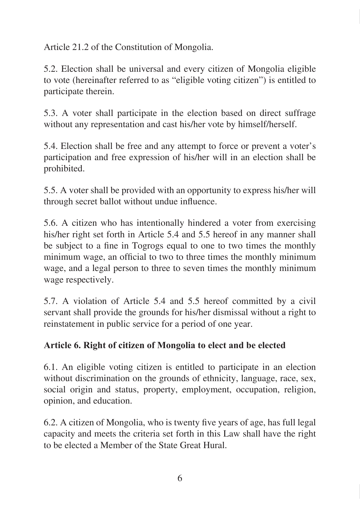Article 21.2 of the Constitution of Mongolia.

5.2. Election shall be universal and every citizen of Mongolia eligible to vote (hereinafter referred to as "eligible voting citizen") is entitled to participate therein.

5.3. A voter shall participate in the election based on direct suffrage without any representation and cast his/her vote by himself/herself.

5.4. Election shall be free and any attempt to force or prevent a voter's participation and free expression of his/her will in an election shall be prohibited.

5.5. A voter shall be provided with an opportunity to express his/her will through secret ballot without undue influence.

5.6. A citizen who has intentionally hindered a voter from exercising his/her right set forth in Article 5.4 and 5.5 hereof in any manner shall be subject to a fine in Togrogs equal to one to two times the monthly minimum wage, an official to two to three times the monthly minimum wage, and a legal person to three to seven times the monthly minimum wage respectively.

5.7. A violation of Article 5.4 and 5.5 hereof committed by a civil servant shall provide the grounds for his/her dismissal without a right to reinstatement in public service for a period of one year.

## **Article 6. Right of citizen of Mongolia to elect and be elected**

6.1. An eligible voting citizen is entitled to participate in an election without discrimination on the grounds of ethnicity, language, race, sex, social origin and status, property, employment, occupation, religion, opinion, and education.

6.2. A citizen of Mongolia, who is twenty five years of age, has full legal capacity and meets the criteria set forth in this Law shall have the right to be elected a Member of the State Great Hural.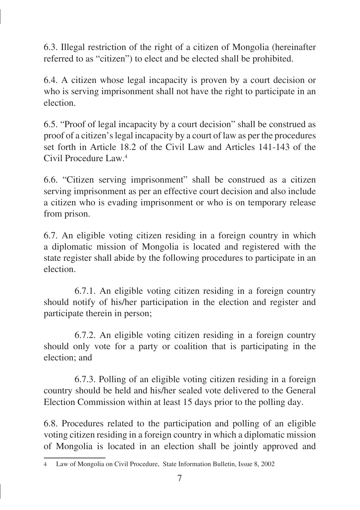6.3. Illegal restriction of the right of a citizen of Mongolia (hereinafter referred to as "citizen") to elect and be elected shall be prohibited.

6.4. A citizen whose legal incapacity is proven by a court decision or who is serving imprisonment shall not have the right to participate in an election.

6.5. "Proof of legal incapacity by a court decision" shall be construed as proof of a citizen's legal incapacity by a court of law as per the procedures set forth in Article 18.2 of the Civil Law and Articles 141-143 of the Civil Procedure Law.

6.6. "Citizen serving imprisonment" shall be construed as a citizen serving imprisonment as per an effective court decision and also include a citizen who is evading imprisonment or who is on temporary release from prison.

6.7. An eligible voting citizen residing in a foreign country in which a diplomatic mission of Mongolia is located and registered with the state register shall abide by the following procedures to participate in an election.

6.7.1. An eligible voting citizen residing in a foreign country should notify of his/her participation in the election and register and participate therein in person;

6.7.2. An eligible voting citizen residing in a foreign country should only vote for a party or coalition that is participating in the election; and

6.7.3. Polling of an eligible voting citizen residing in a foreign country should be held and his/her sealed vote delivered to the General Election Commission within at least 15 days prior to the polling day.

6.8. Procedures related to the participation and polling of an eligible voting citizen residing in a foreign country in which a diplomatic mission of Mongolia is located in an election shall be jointly approved and

Law of Mongolia on Civil Procedure, State Information Bulletin, Issue 8, 2002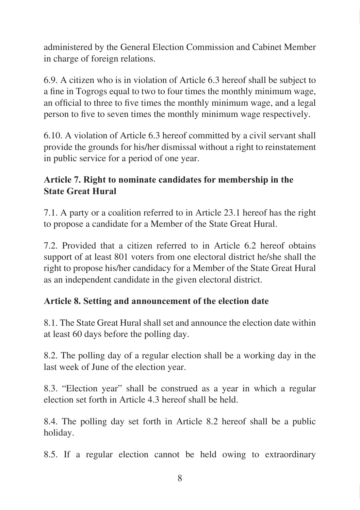administered by the General Election Commission and Cabinet Member in charge of foreign relations.

6.9. A citizen who is in violation of Article 6.3 hereof shall be subject to a fine in Togrogs equal to two to four times the monthly minimum wage, an official to three to five times the monthly minimum wage, and a legal person to five to seven times the monthly minimum wage respectively.

6.10. A violation of Article 6.3 hereof committed by a civil servant shall provide the grounds for his/her dismissal without a right to reinstatement in public service for a period of one year.

## **Article 7. Right to nominate candidates for membership in the State Great Hural**

7.1. A party or a coalition referred to in Article 23.1 hereof has the right to propose a candidate for a Member of the State Great Hural.

7.2. Provided that a citizen referred to in Article 6.2 hereof obtains support of at least 801 voters from one electoral district he/she shall the right to propose his/her candidacy for a Member of the State Great Hural as an independent candidate in the given electoral district.

## **Article 8. Setting and announcement of the election date**

8.1. The State Great Hural shall set and announce the election date within at least 60 days before the polling day.

8.2. The polling day of a regular election shall be a working day in the last week of June of the election year.

8.3. "Election year" shall be construed as a year in which a regular election set forth in Article 4.3 hereof shall be held.

8.4. The polling day set forth in Article 8.2 hereof shall be a public holiday.

8.5. If a regular election cannot be held owing to extraordinary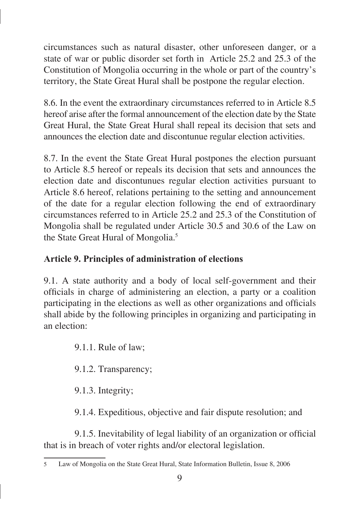circumstances such as natural disaster, other unforeseen danger, or a state of war or public disorder set forth in Article 25.2 and 25.3 of the Constitution of Mongolia occurring in the whole or part of the country's territory, the State Great Hural shall be postpone the regular election.

8.6. In the event the extraordinary circumstances referred to in Article 8.5 hereof arise after the formal announcement of the election date by the State Great Hural, the State Great Hural shall repeal its decision that sets and announces the election date and discontunue regular election activities.

8.7. In the event the State Great Hural postpones the election pursuant to Article 8.5 hereof or repeals its decision that sets and announces the election date and discontunues regular election activities pursuant to Article 8.6 hereof, relations pertaining to the setting and announcement of the date for a regular election following the end of extraordinary circumstances referred to in Article 25.2 and 25.3 of the Constitution of Mongolia shall be regulated under Article 30.5 and 30.6 of the Law on the State Great Hural of Mongolia.<sup>5</sup>

## **Article 9. Principles of administration of elections**

9.1. A state authority and a body of local self-government and their officials in charge of administering an election, a party or a coalition participating in the elections as well as other organizations and officials shall abide by the following principles in organizing and participating in an election:

9.1.1. Rule of law;

9.1.2. Transparency;

9.1.3. Integrity;

9.1.4. Expeditious, objective and fair dispute resolution; and

9.1.5. Inevitability of legal liability of an organization or official that is in breach of voter rights and/or electoral legislation.

Law of Mongolia on the State Great Hural, State Information Bulletin, Issue 8, 2006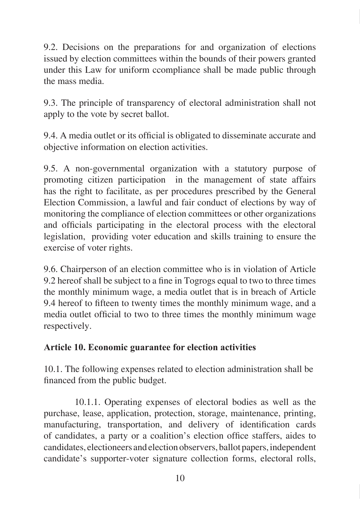9.2. Decisions on the preparations for and organization of elections issued by election committees within the bounds of their powers granted under this Law for uniform ccompliance shall be made public through the mass media.

9.3. The principle of transparency of electoral administration shall not apply to the vote by secret ballot.

9.4. A media outlet or its official is obligated to disseminate accurate and objective information on election activities.

9.5. A non-governmental organization with a statutory purpose of promoting citizen participation in the management of state affairs has the right to facilitate, as per procedures prescribed by the General Election Commission, a lawful and fair conduct of elections by way of monitoring the compliance of election committees or other organizations and officials participating in the electoral process with the electoral legislation, providing voter education and skills training to ensure the exercise of voter rights.

9.6. Chairperson of an election committee who is in violation of Article 9.2 hereof shall be subject to a fine in Togrogs equal to two to three times the monthly minimum wage, a media outlet that is in breach of Article 9.4 hereof to fifteen to twenty times the monthly minimum wage, and a media outlet official to two to three times the monthly minimum wage respectively.

#### **Article 10. Economic guarantee for election activities**

10.1. The following expenses related to election administration shall be financed from the public budget.

10.1.1. Operating expenses of electoral bodies as well as the purchase, lease, application, protection, storage, maintenance, printing, manufacturing, transportation, and delivery of identification cards of candidates, a party or a coalition's election office staffers, aides to candidates, electioneers and election observers, ballot papers, independent candidate's supporter-voter signature collection forms, electoral rolls,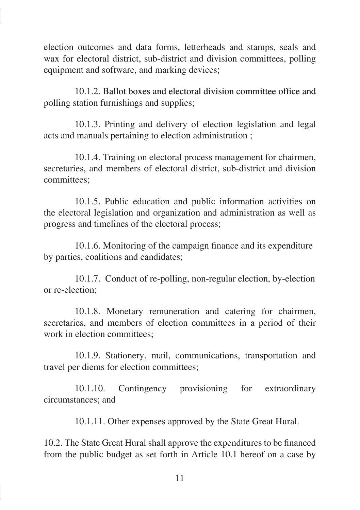election outcomes and data forms, letterheads and stamps, seals and wax for electoral district, sub-district and division committees, polling equipment and software, and marking devices;

10.1.2. Ballot boxes and electoral division committee office and polling station furnishings and supplies;

10.1.3. Printing and delivery of election legislation and legal acts and manuals pertaining to election administration ;

10.1.4. Training on electoral process management for chairmen, secretaries, and members of electoral district, sub-district and division committees;

10.1.5. Public education and public information activities on the electoral legislation and organization and administration as well as progress and timelines of the electoral process;

10.1.6. Monitoring of the campaign finance and its expenditure by parties, coalitions and candidates;

10.1.7. Conduct of re-polling, non-regular election, by-election or re-election;

10.1.8. Monetary remuneration and catering for chairmen, secretaries, and members of election committees in a period of their work in election committees:

10.1.9. Stationery, mail, communications, transportation and travel per diems for election committees;

10.1.10. Contingency provisioning for extraordinary circumstances; and

10.1.11. Other expenses approved by the State Great Hural.

10.2. The State Great Hural shall approve the expenditures to be financed from the public budget as set forth in Article 10.1 hereof on a case by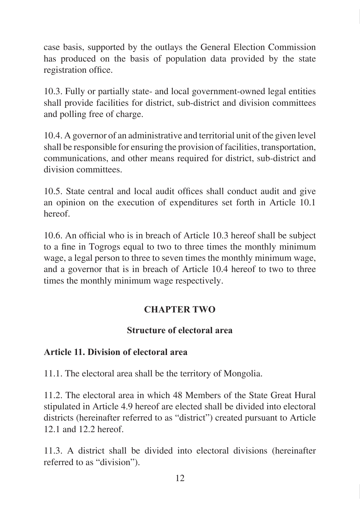case basis, supported by the outlays the General Election Commission has produced on the basis of population data provided by the state registration office.

10.3. Fully or partially state- and local government-owned legal entities shall provide facilities for district, sub-district and division committees and polling free of charge.

10.4. A governor of an administrative and territorial unit of the given level shall be responsible for ensuring the provision of facilities, transportation, communications, and other means required for district, sub-district and division committees.

10.5. State central and local audit offices shall conduct audit and give an opinion on the execution of expenditures set forth in Article 10.1 hereof.

10.6. An official who is in breach of Article 10.3 hereof shall be subject to a fine in Togrogs equal to two to three times the monthly minimum wage, a legal person to three to seven times the monthly minimum wage, and a governor that is in breach of Article 10.4 hereof to two to three times the monthly minimum wage respectively.

## **CHAPTER TWO**

#### **Structure of electoral area**

## **Article 11. Division of electoral area**

11.1. The electoral area shall be the territory of Mongolia.

11.2. The electoral area in which 48 Members of the State Great Hural stipulated in Article 4.9 hereof are elected shall be divided into electoral districts (hereinafter referred to as "district") created pursuant to Article 12.1 and 12.2 hereof.

11.3. A district shall be divided into electoral divisions (hereinafter referred to as "division").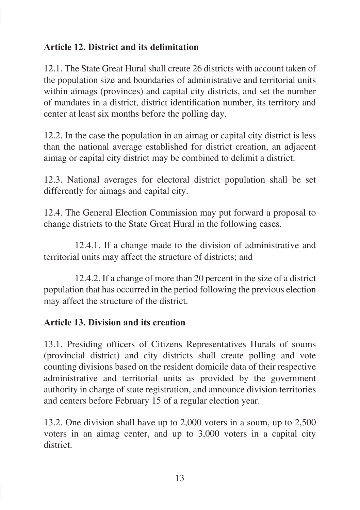### **Article 12. District and its delimitation**

12.1. The State Great Hural shall create 26 districts with account taken of the population size and boundaries of administrative and territorial units within aimags (provinces) and capital city districts, and set the number of mandates in a district, district identification number, its territory and center at least six months before the polling day.

12.2. In the case the population in an aimag or capital city district is less than the national average established for district creation, an adjacent aimag or capital city district may be combined to delimit a district.

12.3. National averages for electoral district population shall be set differently for aimags and capital city.

12.4. The General Election Commission may put forward a proposal to change districts to the State Great Hural in the following cases.

12.4.1. If a change made to the division of administrative and territorial units may affect the structure of districts; and

12.4.2. If a change of more than 20 percent in the size of a district population that has occurred in the period following the previous election may affect the structure of the district.

#### **Article 13. Division and its creation**

13.1. Presiding officers of Citizens Representatives Hurals of soums (provincial district) and city districts shall create polling and vote counting divisions based on the resident domicile data of their respective administrative and territorial units as provided by the government authority in charge of state registration, and announce division territories and centers before February 15 of a regular election year.

13.2. One division shall have up to 2,000 voters in a soum, up to 2,500 voters in an aimag center, and up to 3,000 voters in a capital city district.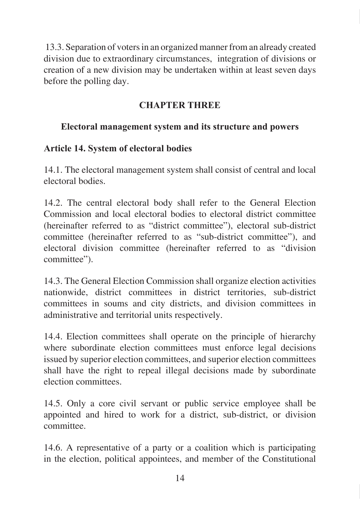13.3. Separation of voters in an organized manner from an already created division due to extraordinary circumstances, integration of divisions or creation of a new division may be undertaken within at least seven days before the polling day.

## **CHAPTER THREE**

## **Electoral management system and its structure and powers**

## **Article 14. System of electoral bodies**

14.1. The electoral management system shall consist of central and local electoral bodies.

14.2. The central electoral body shall refer to the General Election Commission and local electoral bodies to electoral district committee (hereinafter referred to as "district committee"), electoral sub-district committee (hereinafter referred to as "sub-district committee"), and electoral division committee (hereinafter referred to as "division committee").

14.3. The General Election Commission shall organize election activities nationwide, district committees in district territories, sub-district committees in soums and city districts, and division committees in administrative and territorial units respectively.

14.4. Election committees shall operate on the principle of hierarchy where subordinate election committees must enforce legal decisions issued by superior election committees, and superior election committees shall have the right to repeal illegal decisions made by subordinate election committees.

14.5. Only a core civil servant or public service employee shall be appointed and hired to work for a district, sub-district, or division committee.

14.6. A representative of a party or a coalition which is participating in the election, political appointees, and member of the Constitutional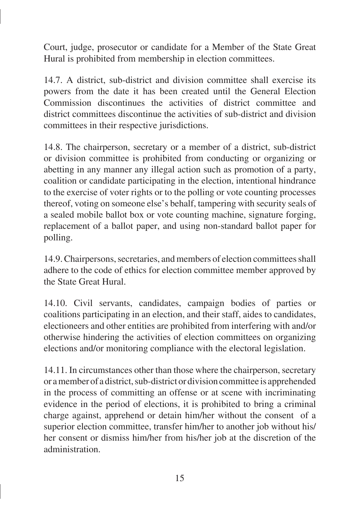Court, judge, prosecutor or candidate for a Member of the State Great Hural is prohibited from membership in election committees.

14.7. A district, sub-district and division committee shall exercise its powers from the date it has been created until the General Election Commission discontinues the activities of district committee and district committees discontinue the activities of sub-district and division committees in their respective jurisdictions.

14.8. The chairperson, secretary or a member of a district, sub-district or division committee is prohibited from conducting or organizing or abetting in any manner any illegal action such as promotion of a party, coalition or candidate participating in the election, intentional hindrance to the exercise of voter rights or to the polling or vote counting processes thereof, voting on someone else's behalf, tampering with security seals of a sealed mobile ballot box or vote counting machine, signature forging, replacement of a ballot paper, and using non-standard ballot paper for polling.

14.9. Chairpersons, secretaries, and members of election committees shall adhere to the code of ethics for election committee member approved by the State Great Hural.

14.10. Civil servants, candidates, campaign bodies of parties or coalitions participating in an election, and their staff, aides to candidates, electioneers and other entities are prohibited from interfering with and/or otherwise hindering the activities of election committees on organizing elections and/or monitoring compliance with the electoral legislation.

14.11. In circumstances other than those where the chairperson, secretary or a member of a district, sub-district or division committee is apprehended in the process of committing an offense or at scene with incriminating evidence in the period of elections, it is prohibited to bring a criminal charge against, apprehend or detain him/her without the consent of a superior election committee, transfer him/her to another job without his/ her consent or dismiss him/her from his/her job at the discretion of the administration.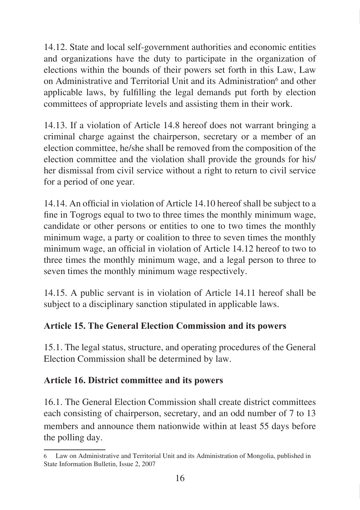14.12. State and local self-government authorities and economic entities and organizations have the duty to participate in the organization of elections within the bounds of their powers set forth in this Law, Law on Administrative and Territorial Unit and its Administration<sup>6</sup> and other applicable laws, by fulfilling the legal demands put forth by election committees of appropriate levels and assisting them in their work.

14.13. If a violation of Article 14.8 hereof does not warrant bringing a criminal charge against the chairperson, secretary or a member of an election committee, he/she shall be removed from the composition of the election committee and the violation shall provide the grounds for his/ her dismissal from civil service without a right to return to civil service for a period of one year.

14.14. An official in violation of Article 14.10 hereof shall be subject to a fine in Togrogs equal to two to three times the monthly minimum wage, candidate or other persons or entities to one to two times the monthly minimum wage, a party or coalition to three to seven times the monthly minimum wage, an official in violation of Article 14.12 hereof to two to three times the monthly minimum wage, and a legal person to three to seven times the monthly minimum wage respectively.

14.15. A public servant is in violation of Article 14.11 hereof shall be subject to a disciplinary sanction stipulated in applicable laws.

#### **Article 15. The General Election Commission and its powers**

15.1. The legal status, structure, and operating procedures of the General Election Commission shall be determined by law.

## **Article 16. District committee and its powers**

16.1. The General Election Commission shall create district committees each consisting of chairperson, secretary, and an odd number of 7 to 13 members and announce them nationwide within at least 55 days before the polling day.

Law on Administrative and Territorial Unit and its Administration of Mongolia, published in State Information Bulletin, Issue 2, 2007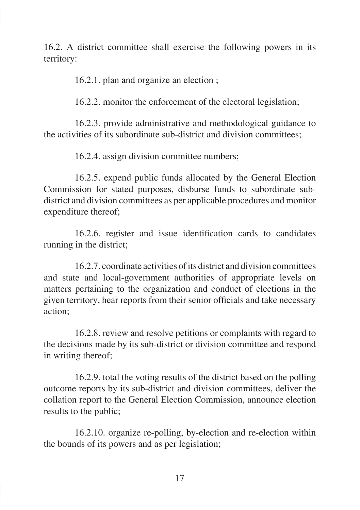16.2. A district committee shall exercise the following powers in its territory:

16.2.1. plan and organize an election ;

16.2.2. monitor the enforcement of the electoral legislation;

16.2.3. provide administrative and methodological guidance to the activities of its subordinate sub-district and division committees;

16.2.4. assign division committee numbers;

16.2.5. expend public funds allocated by the General Election Commission for stated purposes, disburse funds to subordinate subdistrict and division committees as per applicable procedures and monitor expenditure thereof;

16.2.6. register and issue identification cards to candidates running in the district;

16.2.7. coordinate activities of its district and division committees and state and local-government authorities of appropriate levels on matters pertaining to the organization and conduct of elections in the given territory, hear reports from their senior officials and take necessary action;

16.2.8. review and resolve petitions or complaints with regard to the decisions made by its sub-district or division committee and respond in writing thereof;

16.2.9. total the voting results of the district based on the polling outcome reports by its sub-district and division committees, deliver the collation report to the General Election Commission, announce election results to the public;

16.2.10. organize re-polling, by-election and re-election within the bounds of its powers and as per legislation;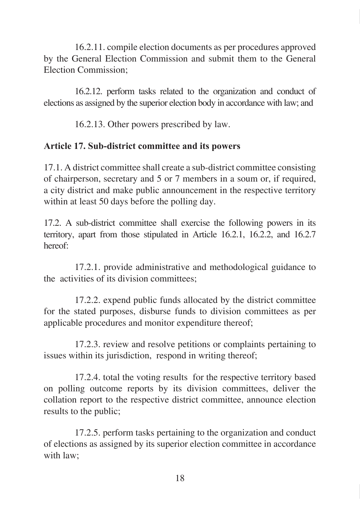16.2.11. compile election documents as per procedures approved by the General Election Commission and submit them to the General Election Commission;

16.2.12. perform tasks related to the organization and conduct of elections as assigned by the superior election body in accordance with law; and

16.2.13. Other powers prescribed by law.

## **Article 17. Sub-district committee and its powers**

17.1. A district committee shall create a sub-district committee consisting of chairperson, secretary and 5 or 7 members in a soum or, if required, a city district and make public announcement in the respective territory within at least 50 days before the polling day.

17.2. A sub-district committee shall exercise the following powers in its territory, apart from those stipulated in Article 16.2.1, 16.2.2, and 16.2.7 hereof:

17.2.1. provide administrative and methodological guidance to the activities of its division committees;

17.2.2. expend public funds allocated by the district committee for the stated purposes, disburse funds to division committees as per applicable procedures and monitor expenditure thereof;

17.2.3. review and resolve petitions or complaints pertaining to issues within its jurisdiction, respond in writing thereof:

17.2.4. total the voting results for the respective territory based on polling outcome reports by its division committees, deliver the collation report to the respective district committee, announce election results to the public;

17.2.5. perform tasks pertaining to the organization and conduct of elections as assigned by its superior election committee in accordance with law;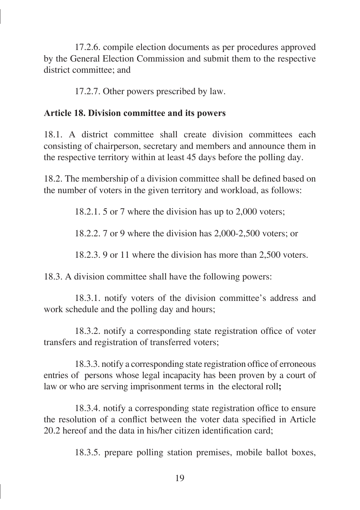17.2.6. compile election documents as per procedures approved by the General Election Commission and submit them to the respective district committee; and

17.2.7. Other powers prescribed by law.

#### **Article 18. Division committee and its powers**

18.1. A district committee shall create division committees each consisting of chairperson, secretary and members and announce them in the respective territory within at least 45 days before the polling day.

18.2. The membership of a division committee shall be defined based on the number of voters in the given territory and workload, as follows:

18.2.1. 5 or 7 where the division has up to 2,000 voters;

18.2.2. 7 or 9 where the division has 2,000-2,500 voters; or

18.2.3. 9 or 11 where the division has more than 2,500 voters.

18.3. A division committee shall have the following powers:

18.3.1. notify voters of the division committee's address and work schedule and the polling day and hours;

18.3.2. notify a corresponding state registration office of voter transfers and registration of transferred voters;

18.3.3. notify a corresponding state registration office of erroneous entries of persons whose legal incapacity has been proven by a court of law or who are serving imprisonment terms inthe electoral roll**;**

18.3.4. notify a corresponding state registration office to ensure the resolution of a conflict between the voter data specified in Article 20.2 hereof and the data in his/her citizen identification card;

18.3.5. prepare polling station premises, mobile ballot boxes,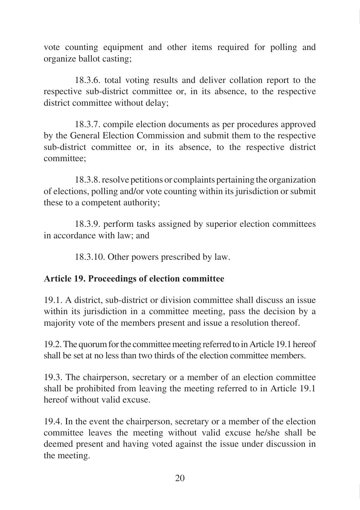vote counting equipment and other items required for polling and organize ballot casting;

18.3.6. total voting results and deliver collation report to the respective sub-district committee or, in its absence, to the respective district committee without delay;

18.3.7. compile election documents as per procedures approved by the General Election Commission and submit them to the respective sub-district committee or, in its absence, to the respective district committee;

18.3.8. resolve petitions or complaints pertaining the organization of elections, polling and/or vote counting within its jurisdiction or submit these to a competent authority;

18.3.9. perform tasks assigned by superior election committees in accordance with law; and

18.3.10. Other powers prescribed by law.

## **Article 19. Proceedings of election committee**

19.1. A district, sub-district or division committee shall discuss an issue within its jurisdiction in a committee meeting, pass the decision by a majority vote of the members present and issue a resolution thereof.

19.2. The quorum for the committee meeting referred to in Article 19.1 hereof shall be set at no less than two thirds of the election committee members.

19.3. The chairperson, secretary or a member of an election committee shall be prohibited from leaving the meeting referred to in Article 19.1 hereof without valid excuse.

19.4. In the event the chairperson, secretary or a member of the election committee leaves the meeting without valid excuse he/she shall be deemed present and having voted against the issue under discussion in the meeting.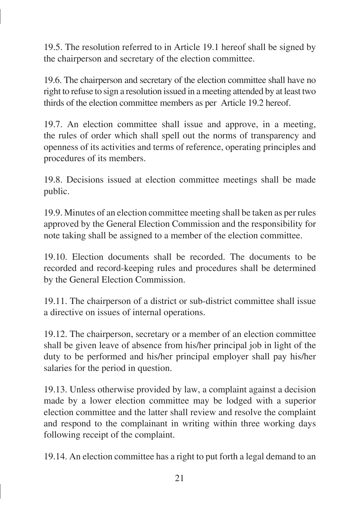19.5. The resolution referred to in Article 19.1 hereof shall be signed by the chairperson and secretary of the election committee.

19.6. The chairperson and secretary of the election committee shall have no right to refuse to sign a resolution issued in a meeting attended by at least two thirds of the election committee members as per Article 19.2 hereof.

19.7. An election committee shall issue and approve, in a meeting, the rules of order which shall spell out the norms of transparency and openness of its activities and terms of reference, operating principles and procedures of its members.

19.8. Decisions issued at election committee meetings shall be made public.

19.9. Minutes of an election committee meeting shall be taken as per rules approved by the General Election Commission and the responsibility for note taking shall be assigned to a member of the election committee.

19.10. Election documents shall be recorded. The documents to be recorded and record-keeping rules and procedures shall be determined by the General Election Commission.

19.11. The chairperson of a district or sub-district committee shall issue a directive on issues of internal operations.

19.12. The chairperson, secretary or a member of an election committee shall be given leave of absence from his/her principal job in light of the duty to be performed and his/her principal employer shall pay his/her salaries for the period in question.

19.13. Unless otherwise provided by law, a complaint against a decision made by a lower election committee may be lodged with a superior election committee and the latter shall review and resolve the complaint and respond to the complainant in writing within three working days following receipt of the complaint.

19.14. An election committee has a right to put forth a legal demand to an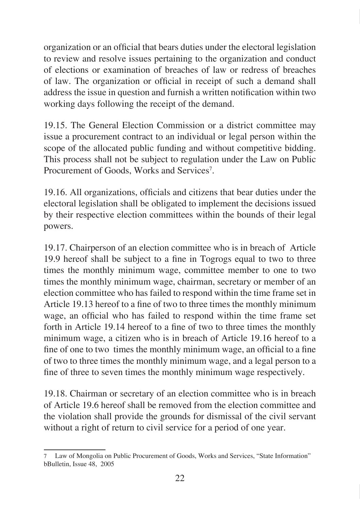organization or an official that bears duties under the electoral legislation to review and resolve issues pertaining to the organization and conduct of elections or examination of breaches of law or redress of breaches of law. The organization or official in receipt of such a demand shall address the issue in question and furnish a written notification within two working days following the receipt of the demand.

19.15. The General Election Commission or a district committee may issue a procurement contract to an individual or legal person within the scope of the allocated public funding and without competitive bidding. This process shall not be subject to regulation under the Law on Public Procurement of Goods, Works and Services<sup>7</sup>.

19.16. All organizations, officials and citizens that bear duties under the electoral legislation shall be obligated to implement the decisions issued by their respective election committees within the bounds of their legal powers.

19.17. Chairperson of an election committee who is in breach of Article 19.9 hereof shall be subject to a fine in Togrogs equal to two to three times the monthly minimum wage, committee member to one to two times the monthly minimum wage, chairman, secretary or member of an election committee who has failed to respond within the time frame set in Article 19.13 hereof to a fine of two to three times the monthly minimum wage, an official who has failed to respond within the time frame set forth in Article 19.14 hereof to a fine of two to three times the monthly minimum wage, a citizen who is in breach of Article 19.16 hereof to a fine of one to two times the monthly minimum wage, an official to a fine of two to three times the monthly minimum wage, and a legal person to a fine of three to seven times the monthly minimum wage respectively.

19.18. Chairman or secretary of an election committee who is in breach of Article 19.6 hereof shall be removed from the election committee and the violation shall provide the grounds for dismissal of the civil servant without a right of return to civil service for a period of one year.

Law of Mongolia on Public Procurement of Goods, Works and Services, "State Information" bBulletin, Issue 48, 2005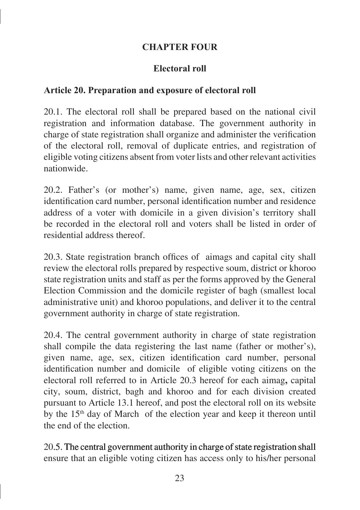#### **CHAPTER FOUR**

#### **Electoral roll**

#### **Article 20. Preparation and exposure of electoral roll**

20.1. The electoral roll shall be prepared based on the national civil registration and information database. The government authority in charge of state registration shall organize and administer the verification of the electoral roll, removal of duplicate entries, and registration of eligible voting citizens absent from voter lists and other relevant activities nationwide.

20.2. Father's (or mother's) name, given name, age, sex, citizen identification card number, personal identification number and residence address of a voter with domicile in a given division's territory shall be recorded in the electoral roll and voters shall be listed in order of residential address thereof.

20.3. State registration branch offices of aimags and capital city shall review the electoral rolls prepared by respective soum, district or khoroo state registration units and staff as per the forms approved by the General Election Commission and the domicile register of bagh (smallest local administrative unit) and khoroo populations, and deliver it to the central government authority in charge of state registration.

20.4. The central government authority in charge of state registration shall compile the data registering the last name (father or mother's), given name, age, sex, citizen identification card number, personal identification number and domicile of eligible voting citizens on the electoral roll referred to in Article 20.3 hereof for each aimag**,** capital city, soum, district, bagh and khoroo and for each division created pursuant to Article 13.1 hereof, and post the electoral roll on its website by the 15th day of March of the election year and keep it thereon until the end of the election.

20.5. The central government authority in charge of state registration shall ensure that an eligible voting citizen has access only to his/her personal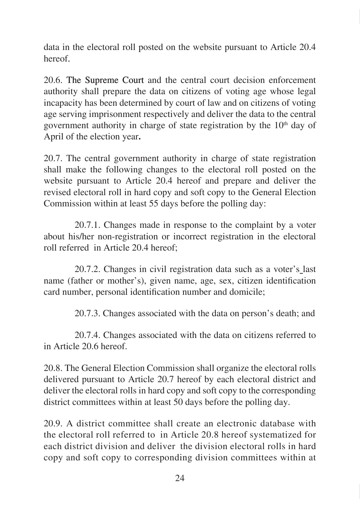data in the electoral roll posted on the website pursuant to Article 20.4 hereof.

20.6. The Supreme Court and the central court decision enforcement authority shall prepare the data on citizens of voting age whose legal incapacity has been determined by court of law and on citizens of voting age serving imprisonment respectively and deliver the data to the central government authority in charge of state registration by the  $10<sup>th</sup>$  day of April of the election year**.**

20.7. The central government authority in charge of state registration shall make the following changes to the electoral roll posted on the website pursuant to Article 20.4 hereof and prepare and deliver the revised electoral roll in hard copy and soft copy to the General Election Commission within at least 55 days before the polling day:

20.7.1. Changes made in response to the complaint by a voter about his/her non-registration or incorrect registration in the electoral roll referred in Article 20.4 hereof;

20.7.2. Changes in civil registration data such as a voter's last name (father or mother's), given name, age, sex, citizen identification card number, personal identification number and domicile;

20.7.3. Changes associated with the data on person's death; and

20.7.4. Changes associated with the data on citizens referred to in Article 20.6 hereof.

20.8. The General Election Commission shall organize the electoral rolls delivered pursuant to Article 20.7 hereof by each electoral district and deliver the electoral rolls in hard copy and soft copy to the corresponding district committees within at least 50 days before the polling day.

20.9. A district committee shall create an electronic database with the electoral roll referred to in Article 20.8 hereof systematized for each district division and deliver the division electoral rolls in hard copy and soft copy to corresponding division committees within at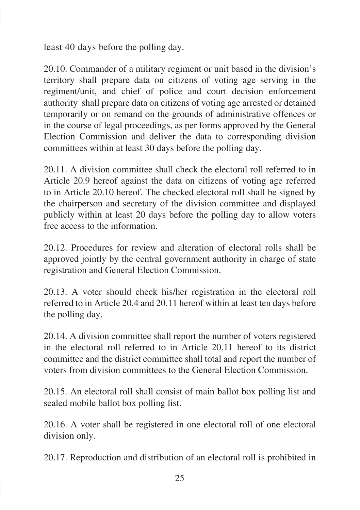least 40 days before the polling day.

20.10. Commander of a military regiment or unit based in the division's territory shall prepare data on citizens of voting age serving in the regiment/unit, and chief of police and court decision enforcement authority shall prepare data on citizens of voting age arrested or detained temporarily or on remand on the grounds of administrative offences or in the course of legal proceedings, as per forms approved by the General Election Commission and deliver the data to corresponding division committees within at least 30 days before the polling day.

20.11. A division committee shall check the electoral roll referred to in Article 20.9 hereof against the data on citizens of voting age referred to in Article 20.10 hereof. The checked electoral roll shall be signed by the chairperson and secretary of the division committee and displayed publicly within at least 20 days before the polling day to allow voters free access to the information.

20.12. Procedures for review and alteration of electoral rolls shall be approved jointly by the central government authority in charge of state registration and General Election Commission.

20.13. A voter should check his/her registration in the electoral roll referred to in Article 20.4 and 20.11 hereof within at least ten days before the polling day.

20.14. A division committee shall report the number of voters registered in the electoral roll referred to in Article 20.11 hereof to its district committee and the district committee shall total and report the number of voters from division committees to the General Election Commission.

20.15. An electoral roll shall consist of main ballot box polling list and sealed mobile ballot box polling list.

20.16. A voter shall be registered in one electoral roll of one electoral division only.

20.17. Reproduction and distribution of an electoral roll is prohibited in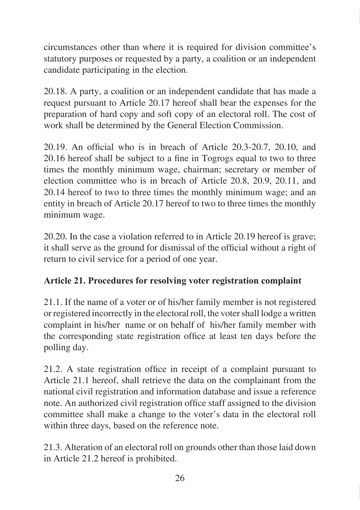circumstances other than where it is required for division committee's statutory purposes or requested by a party, a coalition or an independent candidate participating in the election.

20.18. A party, a coalition or an independent candidate that has made a request pursuant to Article 20.17 hereof shall bear the expenses for the preparation of hard copy and soft copy of an electoral roll. The cost of work shall be determined by the General Election Commission.

20.19. An official who is in breach of Article 20.3-20.7, 20.10, and 20.16 hereof shall be subject to a fine in Togrogs equal to two to three times the monthly minimum wage, chairman; secretary or member of election committee who is in breach of Article 20.8, 20.9, 20.11, and 20.14 hereof to two to three times the monthly minimum wage; and an entity in breach of Article 20.17 hereof to two to three times the monthly minimum wage.

20.20. In the case a violation referred to in Article 20.19 hereof is grave; it shall serve as the ground for dismissal of the official without a right of return to civil service for a period of one year.

## **Article 21. Procedures for resolving voter registration complaint**

21.1. If the name of a voter or of his/her family member is not registered or registered incorrectly in the electoral roll, the voter shall lodge a written complaint in his/her name or on behalf of his/her family member with the corresponding state registration office at least ten days before the polling day.

21.2. A state registration office in receipt of a complaint pursuant to Article 21.1 hereof, shall retrieve the data on the complainant from the national civil registration and information database and issue a reference note. An authorized civil registration office staff assigned to the division committee shall make a change to the voter's data in the electoral roll within three days, based on the reference note.

21.3. Alteration of an electoral roll on grounds other than those laid down in Article 21.2 hereof is prohibited.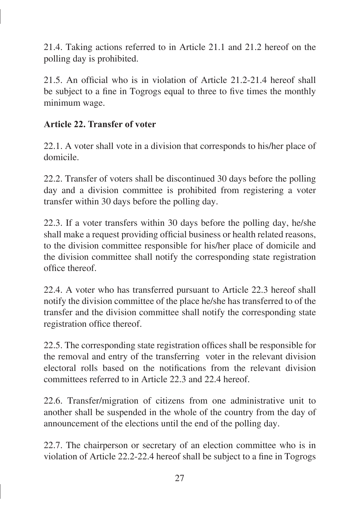21.4. Taking actions referred to in Article 21.1 and 21.2 hereof on the polling day is prohibited.

21.5. An official who is in violation of Article 21.2-21.4 hereof shall be subject to a fine in Togrogs equal to three to five times the monthly minimum wage.

#### **Article 22. Transfer of voter**

22.1. A voter shall vote in a division that corresponds to his/her place of domicile.

22.2. Transfer of voters shall be discontinued 30 days before the polling day and a division committee is prohibited from registering a voter transfer within 30 days before the polling day.

22.3. If a voter transfers within 30 days before the polling day, he/she shall make a request providing official business or health related reasons, to the division committee responsible for his/her place of domicile and the division committee shall notify the corresponding state registration office thereof.

22.4. A voter who has transferred pursuant to Article 22.3 hereof shall notify the division committee of the place he/she has transferred to of the transfer and the division committee shall notify the corresponding state registration office thereof.

22.5. The corresponding state registration offices shall be responsible for the removal and entry of the transferring voter in the relevant division electoral rolls based on the notifications from the relevant division committees referred to in Article 22.3 and 22.4 hereof.

22.6. Transfer/migration of citizens from one administrative unit to another shall be suspended in the whole of the country from the day of announcement of the elections until the end of the polling day.

22.7. The chairperson or secretary of an election committee who is in violation of Article 22.2-22.4 hereof shall be subject to a fine in Togrogs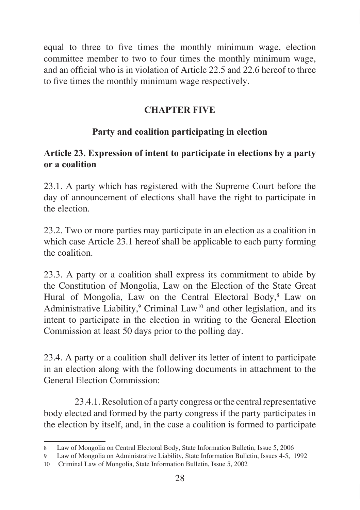equal to three to five times the monthly minimum wage, election committee member to two to four times the monthly minimum wage, and an official who is in violation of Article 22.5 and 22.6 hereof to three to five times the monthly minimum wage respectively.

## **CHAPTER FIVE**

## **Party and coalition participating in election**

## **Article 23. Expression of intent to participate in elections by a party or a coalition**

23.1. A party which has registered with the Supreme Court before the day of announcement of elections shall have the right to participate in the election.

23.2. Two or more parties may participate in an election as a coalition in which case Article 23.1 hereof shall be applicable to each party forming the coalition.

23.3. A party or a coalition shall express its commitment to abide by the Constitution of Mongolia, Law on the Election of the State Great Hural of Mongolia, Law on the Central Electoral Body,<sup>8</sup> Law on Administrative Liability, $\degree$  Criminal Law<sup>10</sup> and other legislation, and its intent to participate in the election in writing to the General Election Commission at least 50 days prior to the polling day.

23.4. A party or a coalition shall deliver its letter of intent to participate in an election along with the following documents in attachment to the General Election Commission:

23.4.1. Resolution of a party congress or the central representative body elected and formed by the party congress if the party participates in the election by itself, and, in the case a coalition is formed to participate

Law of Mongolia on Central Electoral Body, State Information Bulletin, Issue 5, 2006

Law of Mongolia on Administrative Liability, State Information Bulletin, Issues 4-5, 1992

<sup>10</sup> Criminal Law of Mongolia, State Information Bulletin, Issue 5, 2002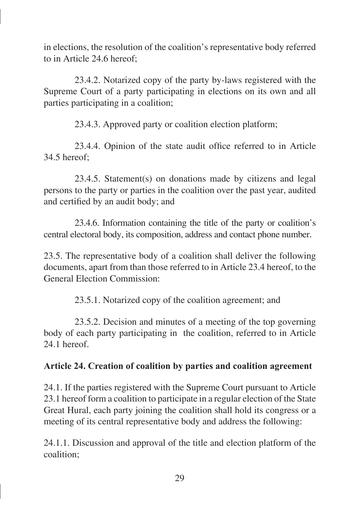in elections, the resolution of the coalition's representative body referred to in Article 24.6 hereof;

23.4.2. Notarized copy of the party by-laws registered with the Supreme Court of a party participating in elections on its own and all parties participating in a coalition;

23.4.3. Approved party or coalition election platform;

23.4.4. Opinion of the state audit office referred to in Article 34.5 hereof;

23.4.5. Statement(s) on donations made by citizens and legal persons to the party or parties in the coalition over the past year, audited and certified by an audit body; and

23.4.6. Information containing the title of the party or coalition's central electoral body, its composition, address and contact phone number.

23.5. The representative body of a coalition shall deliver the following documents, apart from than those referred to in Article 23.4 hereof, to the General Election Commission:

23.5.1. Notarized copy of the coalition agreement; and

23.5.2. Decision and minutes of a meeting of the top governing body of each party participating in the coalition, referred to in Article 24.1 hereof

#### **Article 24. Creation of coalition by parties and coalition agreement**

24.1. If the parties registered with the Supreme Court pursuant to Article 23.1 hereof form a coalition to participate in a regular election of the State Great Hural, each party joining the coalition shall hold its congress or a meeting of its central representative body and address the following:

24.1.1. Discussion and approval of the title and election platform of the coalition;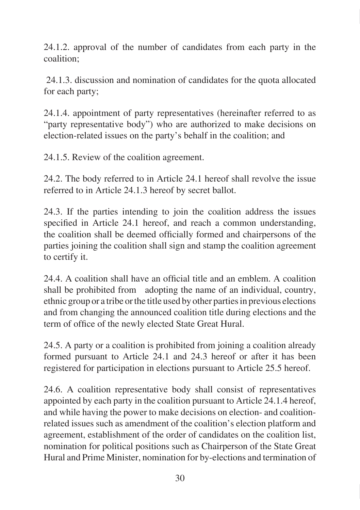24.1.2. approval of the number of candidates from each party in the coalition;

 24.1.3. discussion and nomination of candidates for the quota allocated for each party;

24.1.4. appointment of party representatives (hereinafter referred to as "party representative body") who are authorized to make decisions on election-related issues on the party's behalf in the coalition; and

24.1.5. Review of the coalition agreement.

24.2. The body referred to in Article 24.1 hereof shall revolve the issue referred to in Article 24.1.3 hereof by secret ballot.

24.3. If the parties intending to join the coalition address the issues specified in Article 24.1 hereof, and reach a common understanding, the coalition shall be deemed officially formed and chairpersons of the parties joining the coalition shall sign and stamp the coalition agreement to certify it.

24.4. A coalition shall have an official title and an emblem. A coalition shall be prohibited from adopting the name of an individual, country, ethnic group or a tribe or the title used by other parties in previous elections and from changing the announced coalition title during elections and the term of office of the newly elected State Great Hural.

24.5. A party or a coalition is prohibited from joining a coalition already formed pursuant to Article 24.1 and 24.3 hereof or after it has been registered for participation in elections pursuant to Article 25.5 hereof.

24.6. A coalition representative body shall consist of representatives appointed by each party in the coalition pursuant to Article 24.1.4 hereof, and while having the power to make decisions on election- and coalitionrelated issues such as amendment of the coalition's election platform and agreement, establishment of the order of candidates on the coalition list, nomination for political positions such as Chairperson of the State Great Hural and Prime Minister, nomination for by-elections and termination of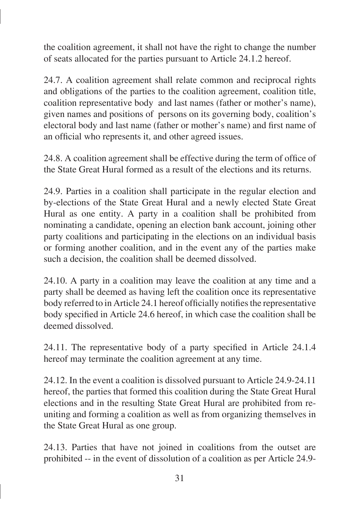the coalition agreement, it shall not have the right to change the number of seats allocated for the parties pursuant to Article 24.1.2 hereof.

24.7. A coalition agreement shall relate common and reciprocal rights and obligations of the parties to the coalition agreement, coalition title, coalition representative body and last names (father or mother's name), given names and positions of persons on its governing body, coalition's electoral body and last name (father or mother's name) and first name of an official who represents it, and other agreed issues.

24.8. A coalition agreement shall be effective during the term of office of the State Great Hural formed as a result of the elections and its returns.

24.9. Parties in a coalition shall participate in the regular election and by-elections of the State Great Hural and a newly elected State Great Hural as one entity. A party in a coalition shall be prohibited from nominating a candidate, opening an election bank account, joining other party coalitions and participating in the elections on an individual basis or forming another coalition, and in the event any of the parties make such a decision, the coalition shall be deemed dissolved.

24.10. A party in a coalition may leave the coalition at any time and a party shall be deemed as having left the coalition once its representative body referred to in Article 24.1 hereof officially notifies the representative body specified in Article 24.6 hereof, in which case the coalition shall be deemed dissolved.

24.11. The representative body of a party specified in Article 24.1.4 hereof may terminate the coalition agreement at any time.

24.12. In the event a coalition is dissolved pursuant to Article 24.9-24.11 hereof, the parties that formed this coalition during the State Great Hural elections and in the resulting State Great Hural are prohibited from reuniting and forming a coalition as well as from organizing themselves in the State Great Hural as one group.

24.13. Parties that have not joined in coalitions from the outset are prohibited -- in the event of dissolution of a coalition as per Article 24.9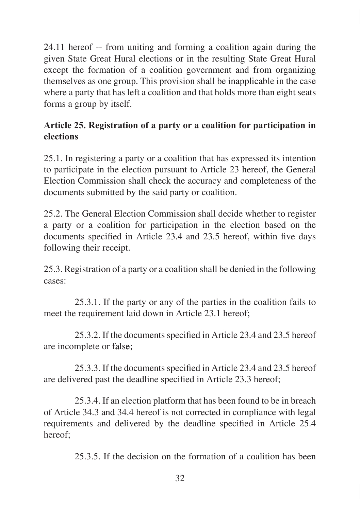24.11 hereof -- from uniting and forming a coalition again during the given State Great Hural elections or in the resulting State Great Hural except the formation of a coalition government and from organizing themselves as one group. This provision shall be inapplicable in the case where a party that has left a coalition and that holds more than eight seats forms a group by itself.

## **Article 25. Registration of a party or a coalition for participation in elections**

25.1. In registering a party or a coalition that has expressed its intention to participate in the election pursuant to Article 23 hereof, the General Election Commission shall check the accuracy and completeness of the documents submitted by the said party or coalition.

25.2. The General Election Commission shall decide whether to register a party or a coalition for participation in the election based on the documents specified in Article 23.4 and 23.5 hereof, within five days following their receipt.

25.3. Registration of a party or a coalition shall be denied in the following cases:

25.3.1. If the party or any of the parties in the coalition fails to meet the requirement laid down in Article 23.1 hereof;

25.3.2. If the documents specified in Article 23.4 and 23.5 hereof are incomplete or false;

25.3.3. If the documents specified in Article 23.4 and 23.5 hereof are delivered past the deadline specified in Article 23.3 hereof;

25.3.4. If an election platform that has been found to be in breach of Article 34.3 and 34.4 hereof is not corrected in compliance with legal requirements and delivered by the deadline specified in Article 25.4 hereof;

25.3.5. If the decision on the formation of a coalition has been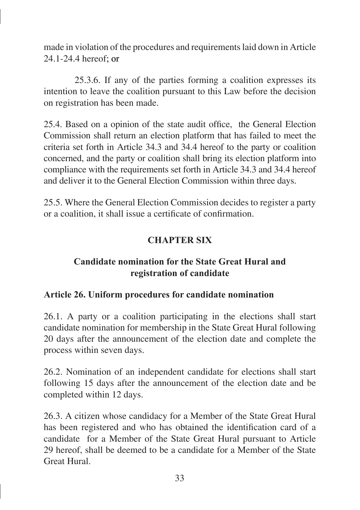made in violation of the procedures and requirements laid down in Article 24.1-24.4 hereof: or

25.3.6. If any of the parties forming a coalition expresses its intention to leave the coalition pursuant to this Law before the decision on registration has been made.

25.4. Based on a opinion of the state audit office, the General Election Commission shall return an election platform that has failed to meet the criteria set forth in Article 34.3 and 34.4 hereof to the party or coalition concerned, and the party or coalition shall bring its election platform into compliance with the requirements set forth in Article 34.3 and 34.4 hereof and deliver it to the General Election Commission within three days.

25.5. Where the General Election Commission decides to register a party or a coalition, it shall issue a certificate of confirmation.

## **CHAPTER SIX**

## **Candidate nomination for the State Great Hural and registration of candidate**

#### **Article 26. Uniform procedures for candidate nomination**

26.1. A party or a coalition participating in the elections shall start candidate nomination for membership in the State Great Hural following 20 days after the announcement of the election date and complete the process within seven days.

26.2. Nomination of an independent candidate for elections shall start following 15 days after the announcement of the election date and be completed within 12 days.

26.3. A citizen whose candidacy for a Member of the State Great Hural has been registered and who has obtained the identification card of a candidate for a Member of the State Great Hural pursuant to Article 29 hereof, shall be deemed to be a candidate for a Member of the State Great Hural.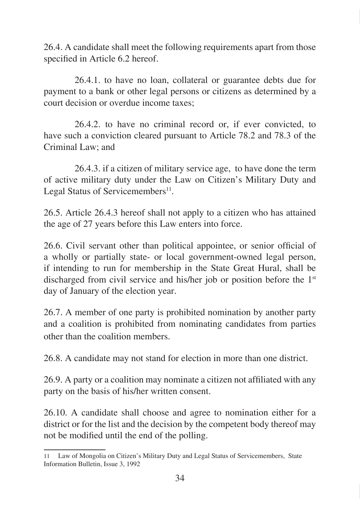26.4. A candidate shall meet the following requirements apart from those specified in Article 6.2 hereof.

26.4.1. to have no loan, collateral or guarantee debts due for payment to a bank or other legal persons or citizens as determined by a court decision or overdue income taxes;

26.4.2. to have no criminal record or, if ever convicted, to have such a conviction cleared pursuant to Article 78.2 and 78.3 of the Criminal Law; and

26.4.3. if a citizen of military service age, to have done the term of active military duty under the Law on Citizen's Military Duty and Legal Status of Servicemembers $^{11}$ .

26.5. Article 26.4.3 hereof shall not apply to a citizen who has attained the age of 27 years before this Law enters into force.

26.6. Civil servant other than political appointee, or senior official of a wholly or partially state- or local government-owned legal person, if intending to run for membership in the State Great Hural, shall be discharged from civil service and his/her job or position before the 1<sup>st</sup> day of January of the election year.

26.7. A member of one party is prohibited nomination by another party and a coalition is prohibited from nominating candidates from parties other than the coalition members.

26.8. A candidate may not stand for election in more than one district.

26.9. A party or a coalition may nominate a citizen not affiliated with any party on the basis of his/her written consent.

26.10. A candidate shall choose and agree to nomination either for a district or for the list and the decision by the competent body thereof may not be modified until the end of the polling.

<sup>11</sup> Law of Mongolia on Citizen's Military Duty and Legal Status of Servicemembers, State Information Bulletin, Issue 3, 1992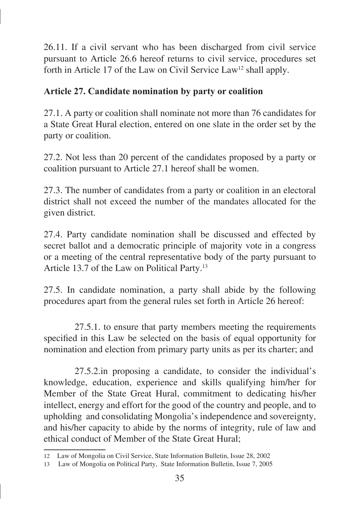26.11. If a civil servant who has been discharged from civil service pursuant to Article 26.6 hereof returns to civil service, procedures set forth in Article 17 of the Law on Civil Service Law<sup>12</sup> shall apply.

### **Article 27. Candidate nomination by party or coalition**

27.1. A party or coalition shall nominate not more than 76 candidates for a State Great Hural election, entered on one slate in the order set by the party or coalition.

27.2. Not less than 20 percent of the candidates proposed by a party or coalition pursuant to Article 27.1 hereof shall be women.

27.3. The number of candidates from a party or coalition in an electoral district shall not exceed the number of the mandates allocated for the given district.

27.4. Party candidate nomination shall be discussed and effected by secret ballot and a democratic principle of majority vote in a congress or a meeting of the central representative body of the party pursuant to Article 13.7 of the Law on Political Party.<sup>13</sup>

27.5. In candidate nomination, a party shall abide by the following procedures apart from the general rules set forth in Article 26 hereof:

27.5.1. to ensure that party members meeting the requirements specified in this Law be selected on the basis of equal opportunity for nomination and election from primary party units as per its charter; and

27.5.2.in proposing a candidate, to consider the individual's knowledge, education, experience and skills qualifying him/her for Member of the State Great Hural, commitment to dedicating his/her intellect, energy and effort for the good of the country and people, and to upholding and consolidating Mongolia's independence and sovereignty, and his/her capacity to abide by the norms of integrity, rule of law and ethical conduct of Member of the State Great Hural;

<sup>12</sup> Law of Mongolia on Civil Service, State Information Bulletin, Issue 28, 2002

<sup>13</sup> Law of Mongolia on Political Party, State Information Bulletin, Issue 7, 2005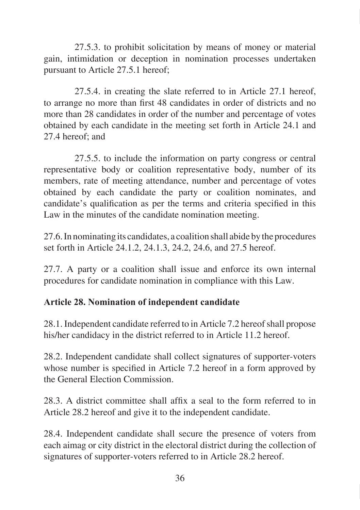27.5.3. to prohibit solicitation by means of money or material gain, intimidation or deception in nomination processes undertaken pursuant to Article 27.5.1 hereof;

27.5.4. in creating the slate referred to in Article 27.1 hereof, to arrange no more than first 48 candidates in order of districts and no more than 28 candidates in order of the number and percentage of votes obtained by each candidate in the meeting set forth in Article 24.1 and 27.4 hereof; and

27.5.5. to include the information on party congress or central representative body or coalition representative body, number of its members, rate of meeting attendance, number and percentage of votes obtained by each candidate the party or coalition nominates, and candidate's qualification as per the terms and criteria specified in this Law in the minutes of the candidate nomination meeting.

27.6. In nominating its candidates, a coalition shall abide by the procedures set forth in Article 24.1.2, 24.1.3, 24.2, 24.6, and 27.5 hereof.

27.7. A party or a coalition shall issue and enforce its own internal procedures for candidate nomination in compliance with this Law.

### **Article 28. Nomination of independent candidate**

28.1. Independent candidate referred to in Article 7.2 hereof shall propose his/her candidacy in the district referred to in Article 11.2 hereof.

28.2. Independent candidate shall collect signatures of supporter-voters whose number is specified in Article 7.2 hereof in a form approved by the General Election Commission.

28.3. A district committee shall affix a seal to the form referred to in Article 28.2 hereof and give it to the independent candidate.

28.4. Independent candidate shall secure the presence of voters from each aimag or city district in the electoral district during the collection of signatures of supporter-voters referred to in Article 28.2 hereof.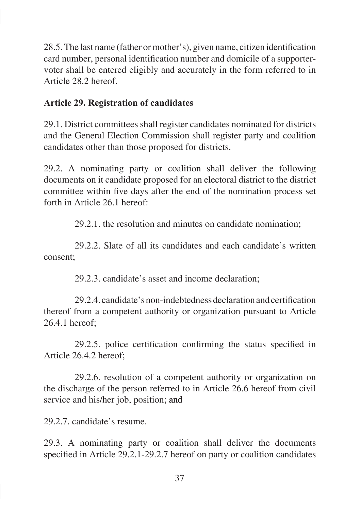28.5. The last name (father or mother's), given name, citizen identification card number, personal identification number and domicile of a supportervoter shall be entered eligibly and accurately in the form referred to in Article 28.2 hereof.

### **Article 29. Registration of candidates**

29.1. District committees shall register candidates nominated for districts and the General Election Commission shall register party and coalition candidates other than those proposed for districts.

29.2. A nominating party or coalition shall deliver the following documents on it candidate proposed for an electoral district to the district committee within five days after the end of the nomination process set forth in Article 26.1 hereof:

29.2.1. the resolution and minutes on candidate nomination�;

29.2.2. Slate of all its candidates and each candidate's written consent:

29.2.3. candidate's asset and income declaration:

29.2.4. candidate's non-indebtedness declaration and certification thereof from a competent authority or organization pursuant to Article  $26.4.1$  hereof:

29.2.5. police certification confirming the status specified in Article 26.4.2 hereof;

29.2.6. resolution of a competent authority or organization on the discharge of the person referred to in Article 26.6 hereof from civil service and his/her job, position; and

29.2.7. candidate's resume.

29.3. A nominating party or coalition shall deliver the documents specified in Article 29.2.1-29.2.7 hereof on party or coalition candidates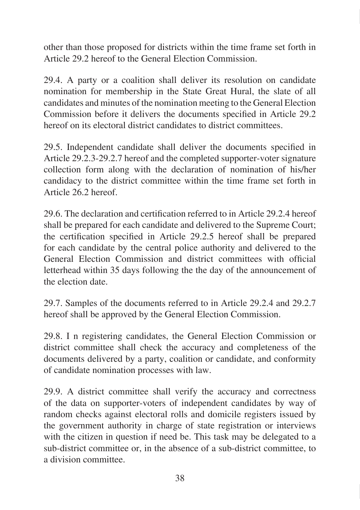other than those proposed for districts within the time frame set forth in Article 29.2 hereof to the General Election Commission.

29.4. A party or a coalition shall deliver its resolution on candidate nomination for membership in the State Great Hural, the slate of all candidates and minutes of the nomination meeting to the General Election Commission before it delivers the documents specified in Article 29.2 hereof on its electoral district candidates to district committees.

29.5. Independent candidate shall deliver the documents specified in Article 29.2.3-29.2.7 hereof and the completed supporter-voter signature collection form along with the declaration of nomination of his/her candidacy to the district committee within the time frame set forth in Article 26.2 hereof.

29.6. The declaration and certification referred to in Article 29.2.4 hereof shall be prepared for each candidate and delivered to the Supreme Court; the certification specified in Article 29.2.5 hereof shall be prepared for each candidate by the central police authority and delivered to the General Election Commission and district committees with official letterhead within 35 days following the the day of the announcement of the election date.

29.7. Samples of the documents referred to in Article 29.2.4 and 29.2.7 hereof shall be approved by the General Election Commission.

29.8. I n registering candidates, the General Election Commission or district committee shall check the accuracy and completeness of the documents delivered by a party, coalition or candidate, and conformity of candidate nomination processes with law.

29.9. A district committee shall verify the accuracy and correctness of the data on supporter-voters of independent candidates by way of random checks against electoral rolls and domicile registers issued by the government authority in charge of state registration or interviews with the citizen in question if need be. This task may be delegated to a sub-district committee or, in the absence of a sub-district committee, to a division committee.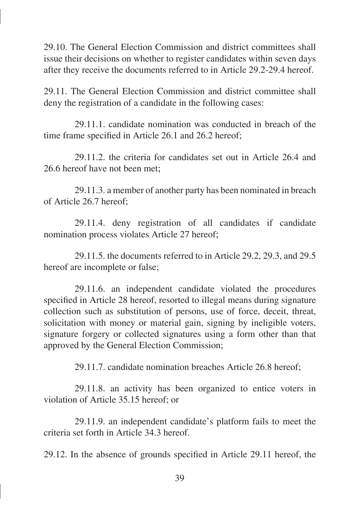29.10. The General Election Commission and district committees shall issue their decisions on whether to register candidates within seven days after they receive the documents referred to in Article 29.2-29.4 hereof.

29.11. The General Election Commission and district committee shall deny the registration of a candidate in the following cases:

29.11.1. candidate nomination was conducted in breach of the time frame specified in Article 26.1 and 26.2 hereof;

29.11.2. the criteria for candidates set out in Article 26.4 and 26.6 hereof have not been met:

29.11.3. a member of another party has been nominated in breach of Article 26.7 hereof;

29.11.4. deny registration of all candidates if candidate nomination process violates Article 27 hereof;

29.11.5. the documents referred to in Article 29.2, 29.3, and 29.5 hereof are incomplete or false;

29.11.6. an independent candidate violated the procedures specified in Article 28 hereof, resorted to illegal means during signature collection such as substitution of persons, use of force, deceit, threat, solicitation with money or material gain, signing by ineligible voters, signature forgery or collected signatures using a form other than that approved by the General Election Commission;

29.11.7. candidate nomination breaches Article 26.8 hereof;

29.11.8. an activity has been organized to entice voters in violation of Article 35.15 hereof; or

29.11.9. an independent candidate's platform fails to meet the criteria set forth in Article 34.3 hereof.

29.12. In the absence of grounds specified in Article 29.11 hereof, the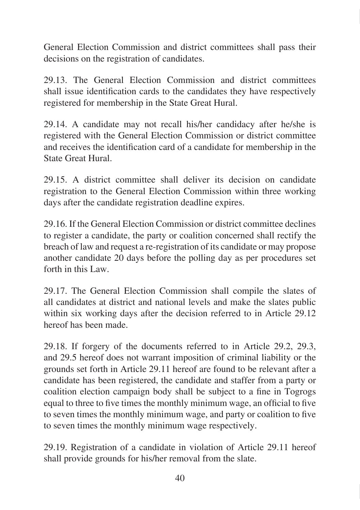General Election Commission and district committees shall pass their decisions on the registration of candidates.

29.13. The General Election Commission and district committees shall issue identification cards to the candidates they have respectively registered for membership in the State Great Hural.

29.14. A candidate may not recall his/her candidacy after he/she is registered with the General Election Commission or district committee and receives the identification card of a candidate for membership in the State Great Hural.

29.15. A district committee shall deliver its decision on candidate registration to the General Election Commission within three working days after the candidate registration deadline expires.

29.16. If the General Election Commission or district committee declines to register a candidate, the party or coalition concerned shall rectify the breach of law and request a re-registration of its candidate or may propose another candidate 20 days before the polling day as per procedures set forth in this Law.

29.17. The General Election Commission shall compile the slates of all candidates at district and national levels and make the slates public within six working days after the decision referred to in Article 29.12 hereof has been made.

29.18. If forgery of the documents referred to in Article 29.2, 29.3, and 29.5 hereof does not warrant imposition of criminal liability or the grounds set forth in Article 29.11 hereof are found to be relevant after a candidate has been registered, the candidate and staffer from a party or coalition election campaign body shall be subject to a fine in Togrogs equal to three to five times the monthly minimum wage, an official to five to seven times the monthly minimum wage, and party or coalition to five to seven times the monthly minimum wage respectively.

29.19. Registration of a candidate in violation of Article 29.11 hereof shall provide grounds for his/her removal from the slate.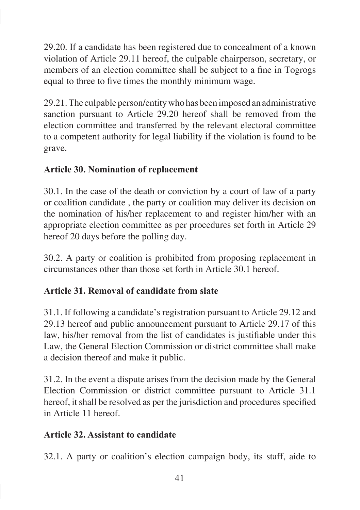29.20. If a candidate has been registered due to concealment of a known violation of Article 29.11 hereof, the culpable chairperson, secretary, or members of an election committee shall be subject to a fine in Togrogs equal to three to five times the monthly minimum wage.

29.21. The culpable person/entity who has been imposed an administrative sanction pursuant to Article 29.20 hereof shall be removed from the election committee and transferred by the relevant electoral committee to a competent authority for legal liability if the violation is found to be grave.

# **Article 30. Nomination of replacement**

30.1. In the case of the death or conviction by a court of law of a party or coalition candidate , the party or coalition may deliver its decision on the nomination of his/her replacement to and register him/her with an appropriate election committee as per procedures set forth in Article 29 hereof 20 days before the polling day.

30.2. A party or coalition is prohibited from proposing replacement in circumstances other than those set forth in Article 30.1 hereof.

# **Article 31. Removal of candidate from slate**

31.1. If following a candidate's registration pursuant to Article 29.12 and 29.13 hereof and public announcement pursuant to Article 29.17 of this law, his/her removal from the list of candidates is justifiable under this Law, the General Election Commission or district committee shall make a decision thereof and make it public.

31.2. In the event a dispute arises from the decision made by the General Election Commission or district committee pursuant to Article 31.1 hereof, it shall be resolved as per the jurisdiction and procedures specified in Article 11 hereof.

# **Article 32. Assistant to candidate**

32.1. A party or coalition's election campaign body, its staff, aide to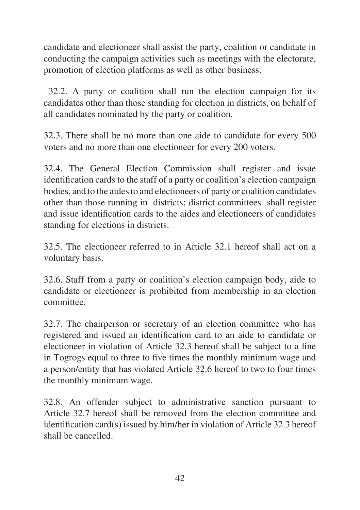candidate and electioneer shall assist the party, coalition or candidate in conducting the campaign activities such as meetings with the electorate, promotion of election platforms as well as other business.

 32.2. A party or coalition shall run the election campaign for its candidates other than those standing for election in districts, on behalf of all candidates nominated by the party or coalition.

32.3. There shall be no more than one aide to candidate for every 500 voters and no more than one electioneer for every 200 voters.

32.4. The General Election Commission shall register and issue identification cards to the staff of a party or coalition's election campaign bodies, and to the aides to and electioneers of party or coalition candidates other than those running in districts; district committees shall register and issue identification cards to the aides and electioneers of candidates standing for elections in districts.

32.5. The electioneer referred to in Article 32.1 hereof shall act on a voluntary basis.

32.6. Staff from a party or coalition's election campaign body, aide to candidate or electioneer is prohibited from membership in an election committee.

32.7. The chairperson or secretary of an election committee who has registered and issued an identification card to an aide to candidate or electioneer in violation of Article 32.3 hereof shall be subject to a fine in Togrogs equal to three to five times the monthly minimum wage and a person/entity that has violated Article 32.6 hereof to two to four times the monthly minimum wage.

32.8. An offender subject to administrative sanction pursuant to Article 32.7 hereof shall be removed from the election committee and identification card(s) issued by him/her in violation of Article 32.3 hereof shall be cancelled.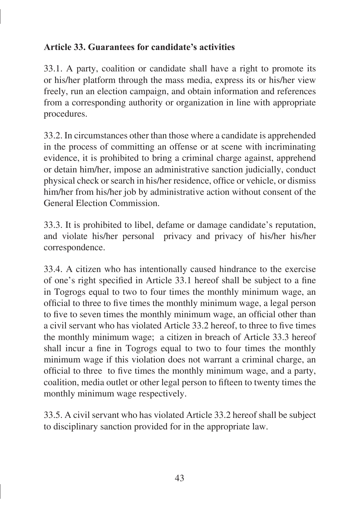# **Article 33. Guarantees for candidate's activities**

33.1. A party, coalition or candidate shall have a right to promote its or his/her platform through the mass media, express its or his/her view freely, run an election campaign, and obtain information and references from a corresponding authority or organization in line with appropriate procedures.

33.2. In circumstances other than those where a candidate is apprehended in the process of committing an offense or at scene with incriminating evidence, it is prohibited to bring a criminal charge against, apprehend or detain him/her, impose an administrative sanction judicially, conduct physical check or search in his/her residence, office or vehicle, or dismiss him/her from his/her job by administrative action without consent of the General Election Commission.

33.3. It is prohibited to libel, defame or damage candidate's reputation, and violate his/her personal privacy and privacy of his/her his/her correspondence.

33.4. A citizen who has intentionally caused hindrance to the exercise of one's right specified in Article 33.1 hereof shall be subject to a fine in Togrogs equal to two to four times the monthly minimum wage, an official to three to five times the monthly minimum wage, a legal person to five to seven times the monthly minimum wage, an official other than a civil servant who has violated Article 33.2 hereof, to three to five times the monthly minimum wage; a citizen in breach of Article 33.3 hereof shall incur a fine in Togrogs equal to two to four times the monthly minimum wage if this violation does not warrant a criminal charge, an official to three to five times the monthly minimum wage, and a party, coalition, media outlet or other legal person to fifteen to twenty times the monthly minimum wage respectively.

33.5. A civil servant who has violated Article 33.2 hereof shall be subject to disciplinary sanction provided for in the appropriate law.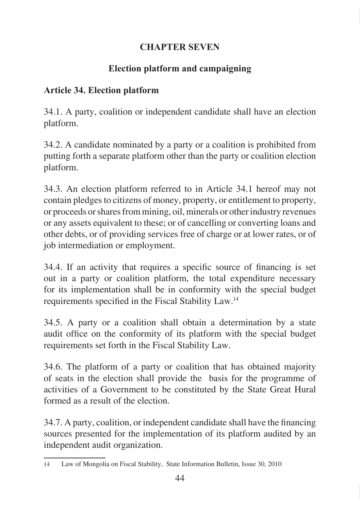# **CHAPTER SEVEN**

# **Election platform and campaigning**

### **Article 34. Election platform**

34.1. A party, coalition or independent candidate shall have an election platform.

34.2. A candidate nominated by a party or a coalition is prohibited from putting forth a separate platform other than the party or coalition election platform.

34.3. An election platform referred to in Article 34.1 hereof may not contain pledges to citizens of money, property, or entitlement to property, or proceeds or shares from mining, oil, minerals or other industry revenues or any assets equivalent to these; or of cancelling or converting loans and other debts, or of providing services free of charge or at lower rates, or of job intermediation or employment.

34.4. If an activity that requires a specific source of financing is set out in a party or coalition platform, the total expenditure necessary for its implementation shall be in conformity with the special budget requirements specified in the Fiscal Stability Law.<sup>14</sup>

34.5. A party or a coalition shall obtain a determination by a state audit office on the conformity of its platform with the special budget requirements set forth in the Fiscal Stability Law.

34.6. The platform of a party or coalition that has obtained majority of seats in the election shall provide the basis for the programme of activities of a Government to be constituted by the State Great Hural formed as a result of the election.

34.7. A party, coalition, or independent candidate shall have the financing sources presented for the implementation of its platform audited by an independent audit organization.

<sup>14</sup> Law of Mongolia on Fiscal Stability, State Information Bulletin, Issue 30, 2010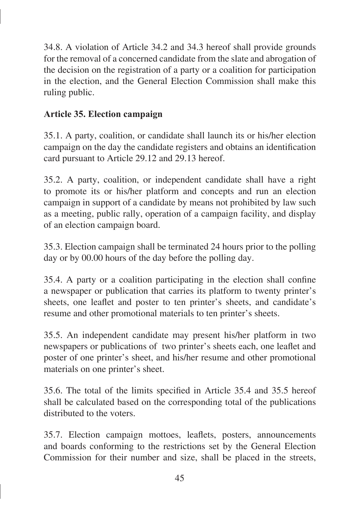34.8. A violation of Article 34.2 and 34.3 hereof shall provide grounds for the removal of a concerned candidate from the slate and abrogation of the decision on the registration of a party or a coalition for participation in the election, and the General Election Commission shall make this ruling public.

### **Article 35. Election campaign**

35.1. A party, coalition, or candidate shall launch its or his/her election campaign on the day the candidate registers and obtains an identification card pursuant to Article 29.12 and 29.13 hereof.

35.2. A party, coalition, or independent candidate shall have a right to promote its or his/her platform and concepts and run an election campaign in support of a candidate by means not prohibited by law such as a meeting, public rally, operation of a campaign facility, and display of an election campaign board.

35.3. Election campaign shall be terminated 24 hours prior to the polling day or by 00.00 hours of the day before the polling day.

35.4. A party or a coalition participating in the election shall confine a newspaper or publication that carries its platform to twenty printer's sheets, one leaflet and poster to ten printer's sheets, and candidate's resume and other promotional materials to ten printer's sheets.

35.5. An independent candidate may present his/her platform in two newspapers or publications of two printer's sheets each, one leaflet and poster of one printer's sheet, and his/her resume and other promotional materials on one printer's sheet.

35.6. The total of the limits specified in Article 35.4 and 35.5 hereof shall be calculated based on the corresponding total of the publications distributed to the voters.

35.7. Election campaign mottoes, leaflets, posters, announcements and boards conforming to the restrictions set by the General Election Commission for their number and size, shall be placed in the streets,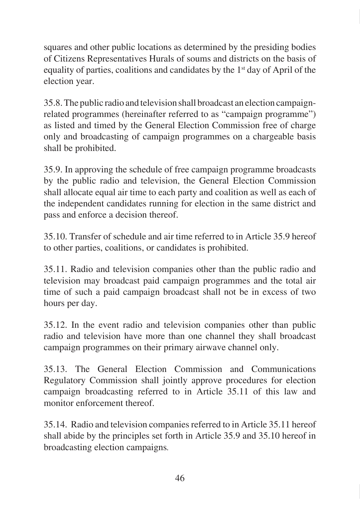squares and other public locations as determined by the presiding bodies of Citizens Representatives Hurals of soums and districts on the basis of equality of parties, coalitions and candidates by the  $1<sup>st</sup>$  day of April of the election year.

35.8. The public radio and television shall broadcast an election campaignrelated programmes (hereinafter referred to as "campaign programme") as listed and timed by the General Election Commission free of charge only and broadcasting of campaign programmes on a chargeable basis shall be prohibited.

35.9. In approving the schedule of free campaign programme broadcasts by the public radio and television, the General Election Commission shall allocate equal air time to each party and coalition as well as each of the independent candidates running for election in the same district and pass and enforce a decision thereof.

35.10. Transfer of schedule and air time referred to in Article 35.9 hereof to other parties, coalitions, or candidates is prohibited.

35.11. Radio and television companies other than the public radio and television may broadcast paid campaign programmes and the total air time of such a paid campaign broadcast shall not be in excess of two hours per day.

35.12. In the event radio and television companies other than public radio and television have more than one channel they shall broadcast campaign programmes on their primary airwave channel only.

35.13. The General Election Commission and Communications Regulatory Commission shall jointly approve procedures for election campaign broadcasting referred to in Article 35.11 of this law and monitor enforcement thereof.

35.14. Radio and television companies referred to in Article 35.11 hereof shall abide by the principles set forth in Article 35.9 and 35.10 hereof in broadcasting election campaigns*.*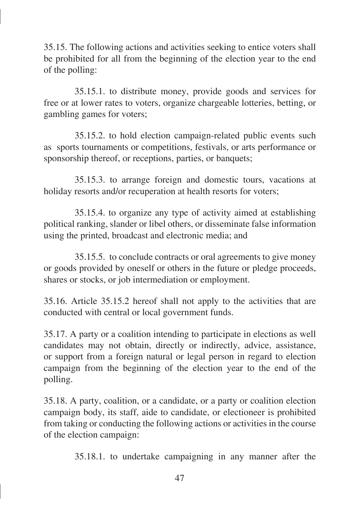35.15. The following actions and activities seeking to entice voters shall be prohibited for all from the beginning of the election year to the end of the polling:

35.15.1. to distribute money, provide goods and services for free or at lower rates to voters, organize chargeable lotteries, betting, or gambling games for voters;

35.15.2. to hold election campaign-related public events such as sports tournaments or competitions, festivals, or arts performance or sponsorship thereof, or receptions, parties, or banquets;

35.15.3. to arrange foreign and domestic tours, vacations at holiday resorts and/or recuperation at health resorts for voters;

35.15.4. to organize any type of activity aimed at establishing political ranking, slander or libel others, or disseminate false information using the printed, broadcast and electronic media; and

35.15.5. to conclude contracts or oral agreements to give money or goods provided by oneself or others in the future or pledge proceeds, shares or stocks, or job intermediation or employment.

35.16. Article 35.15.2 hereof shall not apply to the activities that are conducted with central or local government funds.

35.17. A party or a coalition intending to participate in elections as well candidates may not obtain, directly or indirectly, advice, assistance, or support from a foreign natural or legal person in regard to election campaign from the beginning of the election year to the end of the polling.

35.18. A party, coalition, or a candidate, or a party or coalition election campaign body, its staff, aide to candidate, or electioneer is prohibited from taking or conducting the following actions or activities in the course of the election campaign:

35.18.1. to undertake campaigning in any manner after the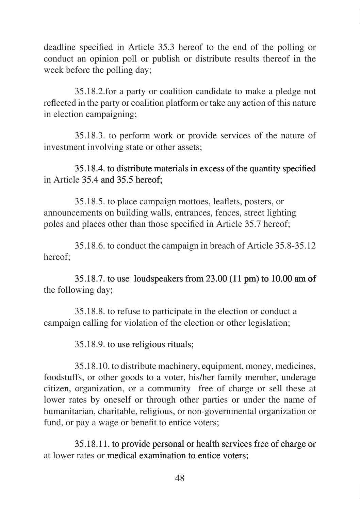deadline specified in Article 35.3 hereof to the end of the polling or conduct an opinion poll or publish or distribute results thereof in the week before the polling day;

35.18.2.for a party or coalition candidate to make a pledge not reflected in the party or coalition platform or take any action of this nature in election campaigning;

35.18.3. to perform work or provide services of the nature of investment involving state or other assets;

### 35.18.4. to distribute materials in excess of the quantity specified in Article 35.4 and 35.5 hereof;

35.18.5. to place campaign mottoes, leaflets, posters, or announcements on building walls, entrances, fences, street lighting poles and places other than those specified in Article 35.7 hereof;

35.18.6. to conduct the campaign in breach of Article 35.8-35.12 hereof;

35.18.7. to use loudspeakers from  $23.00$  (11 pm) to 10.00 am of the following day;

35.18.8. to refuse to participate in the election or conduct a campaign calling for violation of the election or other legislation;

#### 35.18.9. to use religious rituals�

35.18.10. to distribute machinery, equipment, money, medicines, foodstuffs, or other goods to a voter, his/her family member, underage citizen, organization, or a community free of charge or sell these at lower rates by oneself or through other parties or under the name of humanitarian, charitable, religious, or non-governmental organization or fund, or pay a wage or benefit to entice voters;

35.18.11. to provide personal or health services free of charge or at lower rates or medical examination to entice voters: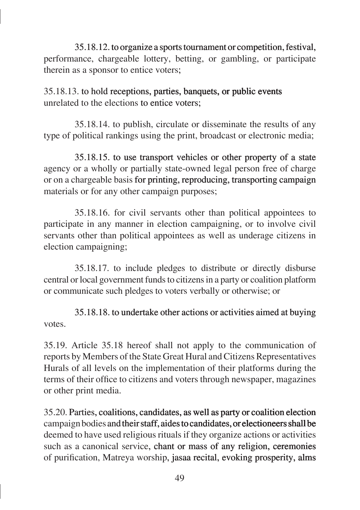35.18.12. to organize a sports tournament or competition, festival, performance, chargeable lottery, betting, or gambling, or participate therein as a sponsor to entice voters;

35.18.13. to hold receptions, parties, banquets, or public events unrelated to the elections to entice voters:

35.18.14. to publish, circulate or disseminate the results of any type of political rankings using the print, broadcast or electronic media;

35.18.15. to use transport vehicles or other property of a state agency or a wholly or partially state-owned legal person free of charge or on a chargeable basis for printing, reproducing, transporting campaign materials or for any other campaign purposes;

35.18.16. for civil servants other than political appointees to participate in any manner in election campaigning, or to involve civil servants other than political appointees as well as underage citizens in election campaigning;

35.18.17. to include pledges to distribute or directly disburse central or local government funds to citizens in a party or coalition platform or communicate such pledges to voters verbally or otherwise; or

# 35.18.18. to undertake other actions or activities aimed at buying votes.

35.19. Article 35.18 hereof shall not apply to the communication of reports by Members of the State Great Hural and Citizens Representatives Hurals of all levels on the implementation of their platforms during the terms of their office to citizens and voters through newspaper, magazines or other print media.

35.20. �arties, coalitions, candidates, as well as party or coalition election campaign bodies and their staff, aides to candidates, or electioneers shall be deemed to have used religious rituals if they organize actions or activities such as a canonical service, chant or mass of any religion, ceremonies of purification, Matreya worship, jasaa recital, evoking prosperity, alms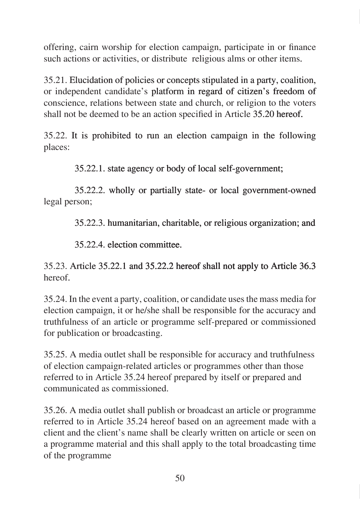offering, cairn worship for election campaign, participate in or finance such actions or activities, or distribute religious alms or other items.

35.21. Elucidation of policies or concepts stipulated in a party, coalition, or independent candidate's platform in regard of citizen's freedom of conscience, relations between state and church, or religion to the voters shall not be deemed to be an action specified in Article 35.20 hereof.

35.22. It is prohibited to run an election campaign in the following places:

35.22.1. state agency or body of local self-government�

35.22.2. wholly or partially state- or local government-owned legal person;

35.22.3. humanitarian, charitable, or religious organization; and

35.22.4. election committee.

# 35.23. Article 35.22.1 and 35.22.2 hereof shall not apply to Article 36.3 hereof.

35.24. In the event a party, coalition, or candidate uses the mass media for election campaign, it or he/she shall be responsible for the accuracy and truthfulness of an article or programme self-prepared or commissioned for publication or broadcasting.

35.25. A media outlet shall be responsible for accuracy and truthfulness of election campaign-related articles or programmes other than those referred to in Article 35.24 hereof prepared by itself or prepared and communicated as commissioned.

35.26. A media outlet shall publish or broadcast an article or programme referred to in Article 35.24 hereof based on an agreement made with a client and the client's name shall be clearly written on article or seen on a programme material and this shall apply to the total broadcasting time of the programme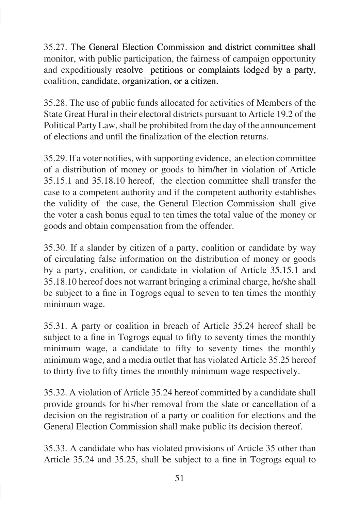35.27. The General Election Commission and district committee shall monitor, with public participation, the fairness of campaign opportunity and expeditiously resolve petitions or complaints lodged by a party, coalition, candidate, organization, or a citizen.

35.28. The use of public funds allocated for activities of Members of the State Great Hural in their electoral districts pursuant to Article 19.2 of the Political Party Law, shall be prohibited from the day of the announcement of elections and until the finalization of the election returns.

35.29. If a voter notifies, with supporting evidence, an election committee of a distribution of money or goods to him/her in violation of Article 35.15.1 and 35.18.10 hereof, the election committee shall transfer the case to a competent authority and if the competent authority establishes the validity of the case, the General Election Commission shall give the voter a cash bonus equal to ten times the total value of the money or goods and obtain compensation from the offender.

35.30. If a slander by citizen of a party, coalition or candidate by way of circulating false information on the distribution of money or goods by a party, coalition, or candidate in violation of Article 35.15.1 and 35.18.10 hereof does not warrant bringing a criminal charge, he/she shall be subject to a fine in Togrogs equal to seven to ten times the monthly minimum wage.

35.31. A party or coalition in breach of Article 35.24 hereof shall be subject to a fine in Togrogs equal to fifty to seventy times the monthly minimum wage, a candidate to fifty to seventy times the monthly minimum wage, and a media outlet that has violated Article 35.25 hereof to thirty five to fifty times the monthly minimum wage respectively.

35.32. A violation of Article 35.24 hereof committed by a candidate shall provide grounds for his/her removal from the slate or cancellation of a decision on the registration of a party or coalition for elections and the General Election Commission shall make public its decision thereof.

35.33. A candidate who has violated provisions of Article 35 other than Article 35.24 and 35.25, shall be subject to a fine in Togrogs equal to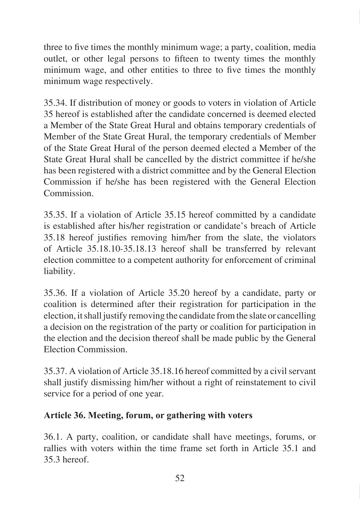three to five times the monthly minimum wage; a party, coalition, media outlet, or other legal persons to fifteen to twenty times the monthly minimum wage, and other entities to three to five times the monthly minimum wage respectively.

35.34. If distribution of money or goods to voters in violation of Article 35 hereof is established after the candidate concerned is deemed elected a Member of the State Great Hural and obtains temporary credentials of Member of the State Great Hural, the temporary credentials of Member of the State Great Hural of the person deemed elected a Member of the State Great Hural shall be cancelled by the district committee if he/she has been registered with a district committee and by the General Election Commission if he/she has been registered with the General Election Commission.

35.35. If a violation of Article 35.15 hereof committed by a candidate is established after his/her registration or candidate's breach of Article 35.18 hereof justifies removing him/her from the slate, the violators of Article 35.18.10-35.18.13 hereof shall be transferred by relevant election committee to a competent authority for enforcement of criminal liability.

35.36. If a violation of Article 35.20 hereof by a candidate, party or coalition is determined after their registration for participation in the election, it shall justify removing the candidate from the slate or cancelling a decision on the registration of the party or coalition for participation in the election and the decision thereof shall be made public by the General Election Commission.

35.37. A violation of Article 35.18.16 hereof committed by a civil servant shall justify dismissing him/her without a right of reinstatement to civil service for a period of one year.

### **Article 36. Meeting, forum, or gathering with voters**

36.1. A party, coalition, or candidate shall have meetings, forums, or rallies with voters within the time frame set forth in Article 35.1 and 35.3 hereof.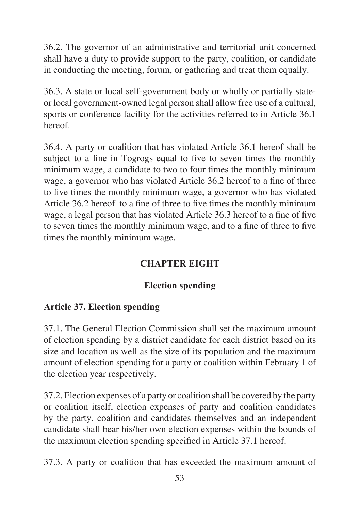36.2. The governor of an administrative and territorial unit concerned shall have a duty to provide support to the party, coalition, or candidate in conducting the meeting, forum, or gathering and treat them equally.

36.3. A state or local self-government body or wholly or partially stateor local government-owned legal person shall allow free use of a cultural, sports or conference facility for the activities referred to in Article 36.1 hereof.

36.4. A party or coalition that has violated Article 36.1 hereof shall be subject to a fine in Togrogs equal to five to seven times the monthly minimum wage, a candidate to two to four times the monthly minimum wage, a governor who has violated Article 36.2 hereof to a fine of three to five times the monthly minimum wage, a governor who has violated Article 36.2 hereof to a fine of three to five times the monthly minimum wage, a legal person that has violated Article 36.3 hereof to a fine of five to seven times the monthly minimum wage, and to a fine of three to five times the monthly minimum wage.

# **CHAPTER EIGHT**

# **Election spending**

# **Article 37. Election spending**

37.1. The General Election Commission shall set the maximum amount of election spending by a district candidate for each district based on its size and location as well as the size of its population and the maximum amount of election spending for a party or coalition within February 1 of the election year respectively.

37.2. Election expenses of a party or coalition shall be covered by the party or coalition itself, election expenses of party and coalition candidates by the party, coalition and candidates themselves and an independent candidate shall bear his/her own election expenses within the bounds of the maximum election spending specified in Article 37.1 hereof.

37.3. A party or coalition that has exceeded the maximum amount of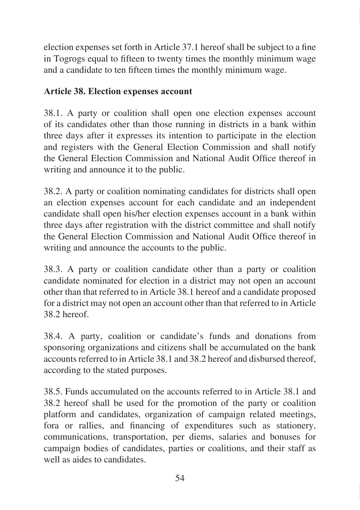election expenses set forth in Article 37.1 hereof shall be subject to a fine in Togrogs equal to fifteen to twenty times the monthly minimum wage and a candidate to ten fifteen times the monthly minimum wage.

### **Article 38. Election expenses account**

38.1. A party or coalition shall open one election expenses account of its candidates other than those running in districts in a bank within three days after it expresses its intention to participate in the election and registers with the General Election Commission and shall notify the General Election Commission and National Audit Office thereof in writing and announce it to the public.

38.2. A party or coalition nominating candidates for districts shall open an election expenses account for each candidate and an independent candidate shall open his/her election expenses account in a bank within three days after registration with the district committee and shall notify the General Election Commission and National Audit Office thereof in writing and announce the accounts to the public.

38.3. A party or coalition candidate other than a party or coalition candidate nominated for election in a district may not open an account other than that referred to in Article 38.1 hereof and a candidate proposed for a district may not open an account other than that referred to in Article 38.2 hereof.

38.4. A party, coalition or candidate's funds and donations from sponsoring organizations and citizens shall be accumulated on the bank accounts referred to in Article 38.1 and 38.2 hereof and disbursed thereof, according to the stated purposes.

38.5. Funds accumulated on the accounts referred to in Article 38.1 and 38.2 hereof shall be used for the promotion of the party or coalition platform and candidates, organization of campaign related meetings, fora or rallies, and financing of expenditures such as stationery, communications, transportation, per diems, salaries and bonuses for campaign bodies of candidates, parties or coalitions, and their staff as well as aides to candidates.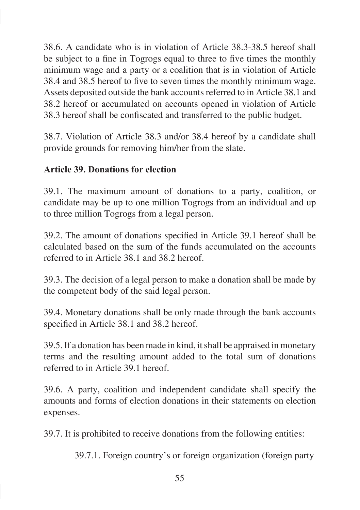38.6. A candidate who is in violation of Article 38.3-38.5 hereof shall be subject to a fine in Togrogs equal to three to five times the monthly minimum wage and a party or a coalition that is in violation of Article 38.4 and 38.5 hereof to five to seven times the monthly minimum wage. Assets deposited outside the bank accounts referred to in Article 38.1 and 38.2 hereof or accumulated on accounts opened in violation of Article 38.3 hereof shall be confiscated and transferred to the public budget.

38.7. Violation of Article 38.3 and/or 38.4 hereof by a candidate shall provide grounds for removing him/her from the slate.

## **Article 39. Donations for election**

39.1. The maximum amount of donations to a party, coalition, or candidate may be up to one million Togrogs from an individual and up to three million Togrogs from a legal person.

39.2. The amount of donations specified in Article 39.1 hereof shall be calculated based on the sum of the funds accumulated on the accounts referred to in Article 38.1 and 38.2 hereof.

39.3. The decision of a legal person to make a donation shall be made by the competent body of the said legal person.

39.4. Monetary donations shall be only made through the bank accounts specified in Article 38.1 and 38.2 hereof.

39.5. If a donation has been made in kind, it shall be appraised in monetary terms and the resulting amount added to the total sum of donations referred to in Article 39.1 hereof.

39.6. A party, coalition and independent candidate shall specify the amounts and forms of election donations in their statements on election expenses.

39.7. It is prohibited to receive donations from the following entities:

39.7.1. Foreign country's or foreign organization (foreign party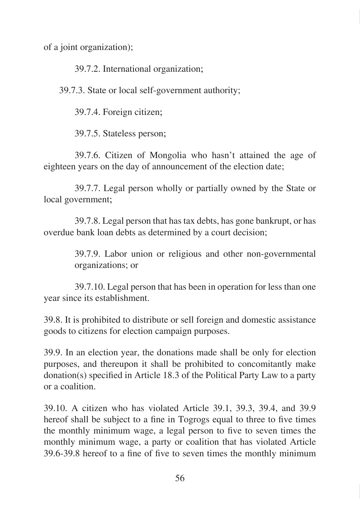of a joint organization);

39.7.2. International organization�;

39.7.3. State or local self-government authority;

39.7.4. Foreign citizen�;

39.7.5. Stateless person�;

39.7.6. Citizen of Mongolia who hasn't attained the age of eighteen years on the day of announcement of the election date;

39.7.7. Legal person wholly or partially owned by the State or local government;

39.7.8. Legal person that has tax debts, has gone bankrupt, or has overdue bank loan debts as determined by a court decision;

> 39.7.9. Labor union or religious and other non-governmental organizations; or

39.7.10. Legal person that has been in operation for less than one year since its establishment.

39.8. It is prohibited to distribute or sell foreign and domestic assistance goods to citizens for election campaign purposes.

39.9. In an election year, the donations made shall be only for election purposes, and thereupon it shall be prohibited to concomitantly make donation(s) specified in Article 18.3 of the Political Party Law to a party or a coalition.

39.10. A citizen who has violated Article 39.1, 39.3, 39.4, and 39.9 hereof shall be subject to a fine in Togrogs equal to three to five times the monthly minimum wage, a legal person to five to seven times the monthly minimum wage, a party or coalition that has violated Article 39.6-39.8 hereof to a fine of five to seven times the monthly minimum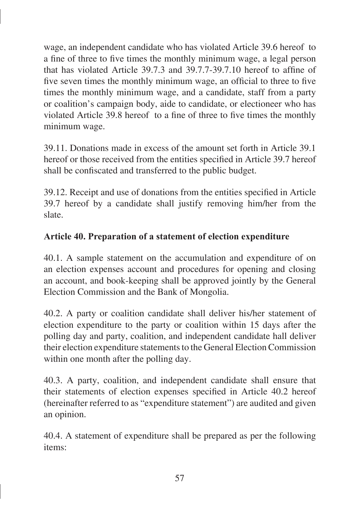wage, an independent candidate who has violated Article 39.6 hereof to a fine of three to five times the monthly minimum wage, a legal person that has violated Article 39.7.3 and 39.7.7-39.7.10 hereof to affine of five seven times the monthly minimum wage, an official to three to five times the monthly minimum wage, and a candidate, staff from a party or coalition's campaign body, aide to candidate, or electioneer who has violated Article 39.8 hereof to a fine of three to five times the monthly minimum wage.

39.11. Donations made in excess of the amount set forth in Article 39.1 hereof or those received from the entities specified in Article 39.7 hereof shall be confiscated and transferred to the public budget.

39.12. Receipt and use of donations from the entities specified in Article 39.7 hereof by a candidate shall justify removing him/her from the slate.

## **Article 40. Preparation of a statement of election expenditure**

40.1. A sample statement on the accumulation and expenditure of on an election expenses account and procedures for opening and closing an account, and book-keeping shall be approved jointly by the General Election Commission and the Bank of Mongolia.

40.2. A party or coalition candidate shall deliver his/her statement of election expenditure to the party or coalition within 15 days after the polling day and party, coalition, and independent candidate hall deliver their election expenditure statements to the General Election Commission within one month after the polling day.

40.3. A party, coalition, and independent candidate shall ensure that their statements of election expenses specified in Article 40.2 hereof (hereinafter referred to as "expenditure statement") are audited and given an opinion.

40.4. A statement of expenditure shall be prepared as per the following items: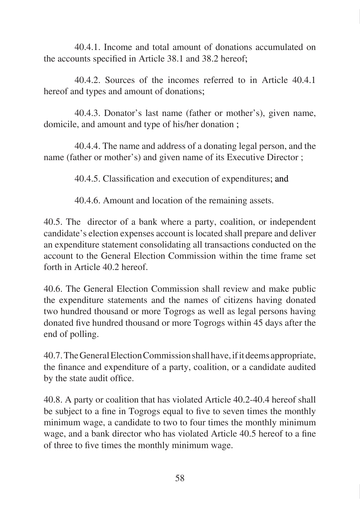40.4.1. Income and total amount of donations accumulated on the accounts specified in Article 38.1 and 38.2 hereof;

40.4.2. Sources of the incomes referred to in Article 40.4.1 hereof and types and amount of donations;

40.4.3. Donator's last name (father or mother's), given name, domicile, and amount and type of his/her donation :

40.4.4. The name and address of a donating legal person, and the name (father or mother's) and given name of its Executive Director ;

40.4.5. Classification and execution of expenditures; and

40.4.6. Amount and location of the remaining assets.

40.5. The director of a bank where a party, coalition, or independent candidate's election expenses account is located shall prepare and deliver an expenditure statement consolidating all transactions conducted on the account to the General Election Commission within the time frame set forth in Article 40.2 hereof.

40.6. The General Election Commission shall review and make public the expenditure statements and the names of citizens having donated two hundred thousand or more Togrogs as well as legal persons having donated five hundred thousand or more Togrogs within 45 days after the end of polling.

40.7. The General Election Commission shall have, if it deems appropriate, the finance and expenditure of a party, coalition, or a candidate audited by the state audit office.

40.8. A party or coalition that has violated Article 40.2-40.4 hereof shall be subject to a fine in Togrogs equal to five to seven times the monthly minimum wage, a candidate to two to four times the monthly minimum wage, and a bank director who has violated Article 40.5 hereof to a fine of three to five times the monthly minimum wage.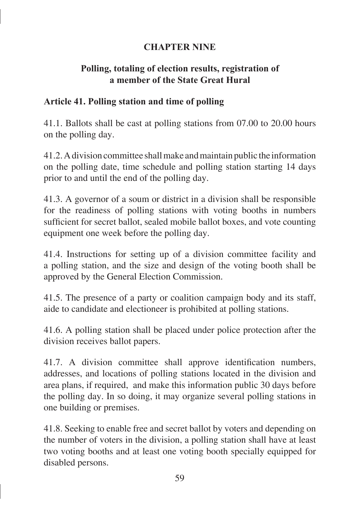## **CHAPTER NINE**

### **Polling, totaling of election results, registration of a member of the State Great Hural**

#### **Article 41. Polling station and time of polling**

41.1. Ballots shall be cast at polling stations from 07.00 to 20.00 hours on the polling day.

41.2. A division committee shall make and maintain public the information on the polling date, time schedule and polling station starting 14 days prior to and until the end of the polling day.

41.3. A governor of a soum or district in a division shall be responsible for the readiness of polling stations with voting booths in numbers sufficient for secret ballot, sealed mobile ballot boxes, and vote counting equipment one week before the polling day.

41.4. Instructions for setting up of a division committee facility and a polling station, and the size and design of the voting booth shall be approved by the General Election Commission.

41.5. The presence of a party or coalition campaign body and its staff, aide to candidate and electioneer is prohibited at polling stations.

41.6. A polling station shall be placed under police protection after the division receives ballot papers.

41.7. A division committee shall approve identification numbers, addresses, and locations of polling stations located in the division and area plans, if required, and make this information public 30 days before the polling day. In so doing, it may organize several polling stations in one building or premises.

41.8. Seeking to enable free and secret ballot by voters and depending on the number of voters in the division, a polling station shall have at least two voting booths and at least one voting booth specially equipped for disabled persons.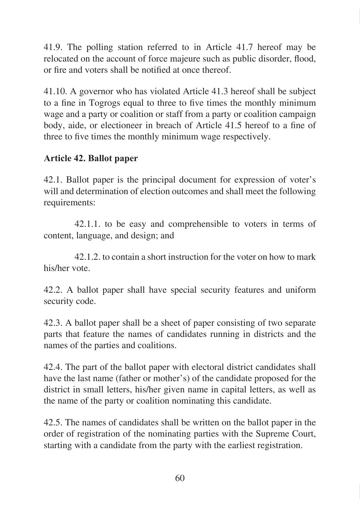41.9. The polling station referred to in Article 41.7 hereof may be relocated on the account of force majeure such as public disorder, flood, or fire and voters shall be notified at once thereof.

41.10. A governor who has violated Article 41.3 hereof shall be subject to a fine in Togrogs equal to three to five times the monthly minimum wage and a party or coalition or staff from a party or coalition campaign body, aide, or electioneer in breach of Article 41.5 hereof to a fine of three to five times the monthly minimum wage respectively.

## **Article 42. Ballot paper**

42.1. Ballot paper is the principal document for expression of voter's will and determination of election outcomes and shall meet the following requirements:

42.1.1. to be easy and comprehensible to voters in terms of content, language, and design; and

42.1.2. to contain a short instruction for the voter on how to mark his/her vote.

42.2. A ballot paper shall have special security features and uniform security code.

42.3. A ballot paper shall be a sheet of paper consisting of two separate parts that feature the names of candidates running in districts and the names of the parties and coalitions.

42.4. The part of the ballot paper with electoral district candidates shall have the last name (father or mother's) of the candidate proposed for the district in small letters, his/her given name in capital letters, as well as the name of the party or coalition nominating this candidate.

42.5. The names of candidates shall be written on the ballot paper in the order of registration of the nominating parties with the Supreme Court, starting with a candidate from the party with the earliest registration.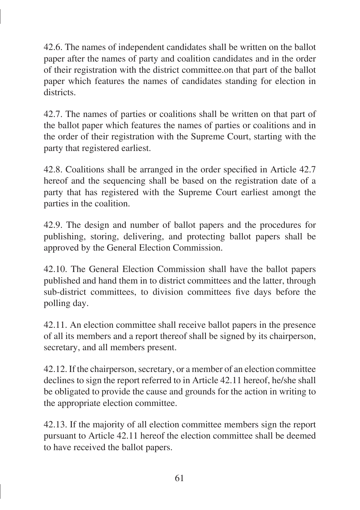42.6. The names of independent candidates shall be written on the ballot paper after the names of party and coalition candidates and in the order of their registration with the district committee.on that part of the ballot paper which features the names of candidates standing for election in districts.

42.7. The names of parties or coalitions shall be written on that part of the ballot paper which features the names of parties or coalitions and in the order of their registration with the Supreme Court, starting with the party that registered earliest.

42.8. Coalitions shall be arranged in the order specified in Article 42.7 hereof and the sequencing shall be based on the registration date of a party that has registered with the Supreme Court earliest amongt the parties in the coalition.

42.9. The design and number of ballot papers and the procedures for publishing, storing, delivering, and protecting ballot papers shall be approved by the General Election Commission.

42.10. The General Election Commission shall have the ballot papers published and hand them in to district committees and the latter, through sub-district committees, to division committees five days before the polling day.

42.11. An election committee shall receive ballot papers in the presence of all its members and a report thereof shall be signed by its chairperson, secretary, and all members present.

42.12. If the chairperson, secretary, or a member of an election committee declines to sign the report referred to in Article 42.11 hereof, he/she shall be obligated to provide the cause and grounds for the action in writing to the appropriate election committee.

42.13. If the majority of all election committee members sign the report pursuant to Article 42.11 hereof the election committee shall be deemed to have received the ballot papers.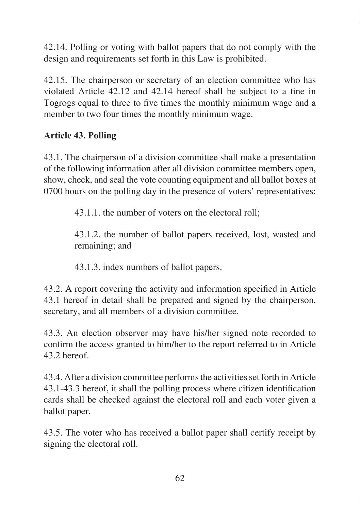42.14. Polling or voting with ballot papers that do not comply with the design and requirements set forth in this Law is prohibited.

42.15. The chairperson or secretary of an election committee who has violated Article 42.12 and 42.14 hereof shall be subject to a fine in Togrogs equal to three to five times the monthly minimum wage and a member to two four times the monthly minimum wage.

# **Article 43. Polling**

43.1. The chairperson of a division committee shall make a presentation of the following information after all division committee members open, show, check, and seal the vote counting equipment and all ballot boxes at 0700 hours on the polling day in the presence of voters' representatives:

43.1.1. the number of voters on the electoral roll;

43.1.2. the number of ballot papers received, lost, wasted and remaining; and

43.1.3. index numbers of ballot papers.

43.2. A report covering the activity and information specified in Article 43.1 hereof in detail shall be prepared and signed by the chairperson, secretary, and all members of a division committee.

43.3. An election observer may have his/her signed note recorded to confirm the access granted to him/her to the report referred to in Article 43.2 hereof.

43.4. After a division committee performs the activities set forth in Article 43.1-43.3 hereof, it shall the polling process where citizen identification cards shall be checked against the electoral roll and each voter given a ballot paper.

43.5. The voter who has received a ballot paper shall certify receipt by signing the electoral roll.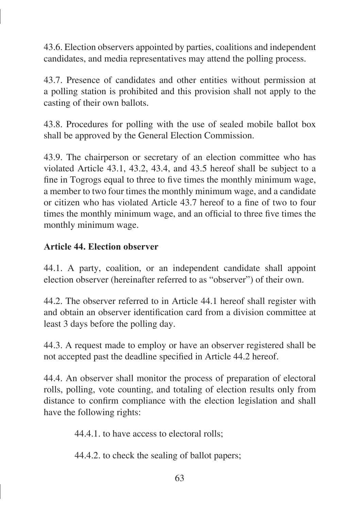43.6. Election observers appointed by parties, coalitions and independent candidates, and media representatives may attend the polling process.

43.7. Presence of candidates and other entities without permission at a polling station is prohibited and this provision shall not apply to the casting of their own ballots.

43.8. Procedures for polling with the use of sealed mobile ballot box shall be approved by the General Election Commission.

43.9. The chairperson or secretary of an election committee who has violated Article 43.1, 43.2, 43.4, and 43.5 hereof shall be subject to a fine in Togrogs equal to three to five times the monthly minimum wage, a member to two four times the monthly minimum wage, and a candidate or citizen who has violated Article 43.7 hereof to a fine of two to four times the monthly minimum wage, and an official to three five times the monthly minimum wage.

#### **Article 44. Election observer**

44.1. A party, coalition, or an independent candidate shall appoint election observer (hereinafter referred to as "observer") of their own.

44.2. The observer referred to in Article 44.1 hereof shall register with and obtain an observer identification card from a division committee at least 3 days before the polling day.

44.3. A request made to employ or have an observer registered shall be not accepted past the deadline specified in Article 44.2 hereof.

44.4. An observer shall monitor the process of preparation of electoral rolls, polling, vote counting, and totaling of election results only from distance to confirm compliance with the election legislation and shall have the following rights:

44.4.1. to have access to electoral rolls;

44.4.2. to check the sealing of ballot papers;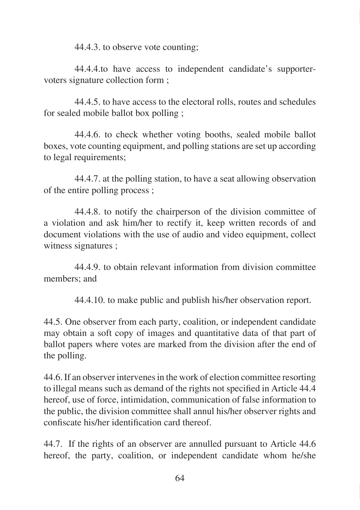44.4.3. to observe vote counting;

44.4.4.to have access to independent candidate's supportervoters signature collection form ;

44.4.5. to have access to the electoral rolls, routes and schedules for sealed mobile ballot box polling ;

44.4.6. to check whether voting booths, sealed mobile ballot boxes, vote counting equipment, and polling stations are set up according to legal requirements:

44.4.7. at the polling station, to have a seat allowing observation of the entire polling process ;

44.4.8. to notify the chairperson of the division committee of a violation and ask him/her to rectify it, keep written records of and document violations with the use of audio and video equipment, collect witness signatures ;

44.4.9. to obtain relevant information from division committee members; and

44.4.10. to make public and publish his/her observation report.

44.5. One observer from each party, coalition, or independent candidate may obtain a soft copy of images and quantitative data of that part of ballot papers where votes are marked from the division after the end of the polling.

44.6. If an observer intervenes in the work of election committee resorting to illegal means such as demand of the rights not specified in Article 44.4 hereof, use of force, intimidation, communication of false information to the public, the division committee shall annul his/her observer rights and confiscate his/her identification card thereof.

44.7. If the rights of an observer are annulled pursuant to Article 44.6 hereof, the party, coalition, or independent candidate whom he/she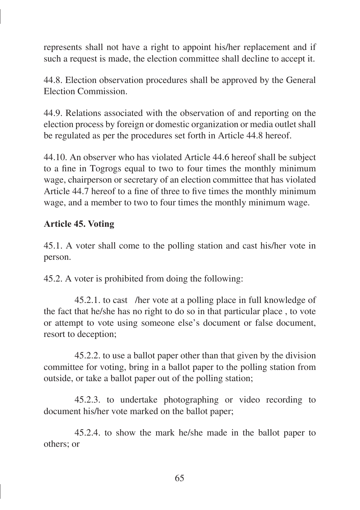represents shall not have a right to appoint his/her replacement and if such a request is made, the election committee shall decline to accept it.

44.8. Election observation procedures shall be approved by the General Election Commission.

44.9. Relations associated with the observation of and reporting on the election process by foreign or domestic organization or media outlet shall be regulated as per the procedures set forth in Article 44.8 hereof.

44.10. An observer who has violated Article 44.6 hereof shall be subject to a fine in Togrogs equal to two to four times the monthly minimum wage, chairperson or secretary of an election committee that has violated Article 44.7 hereof to a fine of three to five times the monthly minimum wage, and a member to two to four times the monthly minimum wage.

#### **Article 45. Voting**

45.1. A voter shall come to the polling station and cast his/her vote in person.

45.2. A voter is prohibited from doing the following:

45.2.1. to cast /her vote at a polling place in full knowledge of the fact that he/she has no right to do so in that particular place , to vote or attempt to vote using someone else's document or false document, resort to deception;

45.2.2. to use a ballot paper other than that given by the division committee for voting, bring in a ballot paper to the polling station from outside, or take a ballot paper out of the polling station;

45.2.3. to undertake photographing or video recording to document his/her vote marked on the ballot paper;

45.2.4. to show the mark he/she made in the ballot paper to others; or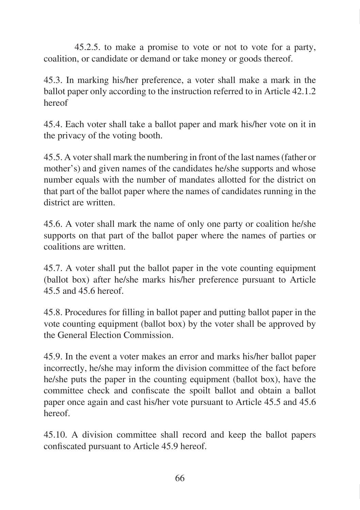45.2.5. to make a promise to vote or not to vote for a party, coalition, or candidate or demand or take money or goods thereof.

45.3. In marking his/her preference, a voter shall make a mark in the ballot paper only according to the instruction referred to in Article 42.1.2 hereof

45.4. Each voter shall take a ballot paper and mark his/her vote on it in the privacy of the voting booth.

45.5. A voter shall mark the numbering in front of the last names (father or mother's) and given names of the candidates he/she supports and whose number equals with the number of mandates allotted for the district on that part of the ballot paper where the names of candidates running in the district are written.

45.6. A voter shall mark the name of only one party or coalition he/she supports on that part of the ballot paper where the names of parties or coalitions are written.

45.7. A voter shall put the ballot paper in the vote counting equipment (ballot box) after he/she marks his/her preference pursuant to Article 45.5 and 45.6 hereof.

45.8. Procedures for filling in ballot paper and putting ballot paper in the vote counting equipment (ballot box) by the voter shall be approved by the General Election Commission.

45.9. In the event a voter makes an error and marks his/her ballot paper incorrectly, he/she may inform the division committee of the fact before he/she puts the paper in the counting equipment (ballot box), have the committee check and confiscate the spoilt ballot and obtain a ballot paper once again and cast his/her vote pursuant to Article 45.5 and 45.6 hereof.

45.10. A division committee shall record and keep the ballot papers confiscated pursuant to Article 45.9 hereof.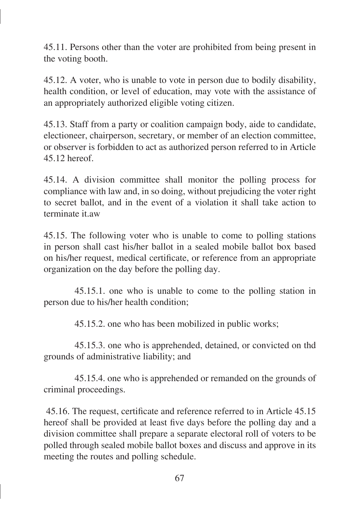45.11. Persons other than the voter are prohibited from being present in the voting booth.

45.12. A voter, who is unable to vote in person due to bodily disability, health condition, or level of education, may vote with the assistance of an appropriately authorized eligible voting citizen.

45.13. Staff from a party or coalition campaign body, aide to candidate, electioneer, chairperson, secretary, or member of an election committee, or observer is forbidden to act as authorized person referred to in Article 45.12 hereof.

45.14. A division committee shall monitor the polling process for compliance with law and, in so doing, without prejudicing the voter right to secret ballot, and in the event of a violation it shall take action to terminate it.aw

45.15. The following voter who is unable to come to polling stations in person shall cast his/her ballot in a sealed mobile ballot box based on his/her request, medical certificate, or reference from an appropriate organization on the day before the polling day.

45.15.1. one who is unable to come to the polling station in person due to his/her health condition;

45.15.2. one who has been mobilized in public works;

45.15.3. one who is apprehended, detained, or convicted on thd grounds of administrative liability; and

45.15.4. one who is apprehended or remanded on the grounds of criminal proceedings.

 45.16. The request, certificate and reference referred to in Article 45.15 hereof shall be provided at least five days before the polling day and a division committee shall prepare a separate electoral roll of voters to be polled through sealed mobile ballot boxes and discuss and approve in its meeting the routes and polling schedule.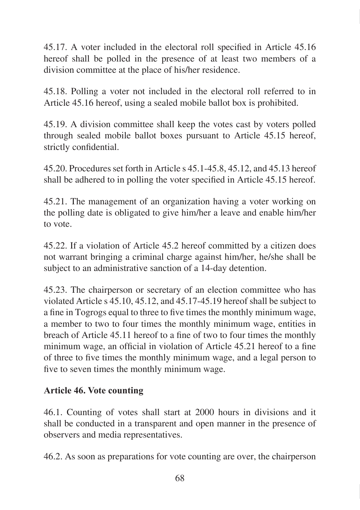45.17. A voter included in the electoral roll specified in Article 45.16 hereof shall be polled in the presence of at least two members of a division committee at the place of his/her residence.

45.18. Polling a voter not included in the electoral roll referred to in Article 45.16 hereof, using a sealed mobile ballot box is prohibited.

45.19. A division committee shall keep the votes cast by voters polled through sealed mobile ballot boxes pursuant to Article 45.15 hereof, strictly confidential.

45.20. Procedures set forth in Article s 45.1-45.8, 45.12, and 45.13 hereof shall be adhered to in polling the voter specified in Article 45.15 hereof.

45.21. The management of an organization having a voter working on the polling date is obligated to give him/her a leave and enable him/her to vote.

45.22. If a violation of Article 45.2 hereof committed by a citizen does not warrant bringing a criminal charge against him/her, he/she shall be subject to an administrative sanction of a 14-day detention.

45.23. The chairperson or secretary of an election committee who has violated Article s 45.10, 45.12, and 45.17-45.19 hereof shall be subject to a fine in Togrogs equal to three to five times the monthly minimum wage, a member to two to four times the monthly minimum wage, entities in breach of Article 45.11 hereof to a fine of two to four times the monthly minimum wage, an official in violation of Article 45.21 hereof to a fine of three to five times the monthly minimum wage, and a legal person to five to seven times the monthly minimum wage.

### **Article 46. Vote counting**

46.1. Counting of votes shall start at 2000 hours in divisions and it shall be conducted in a transparent and open manner in the presence of observers and media representatives.

46.2. As soon as preparations for vote counting are over, the chairperson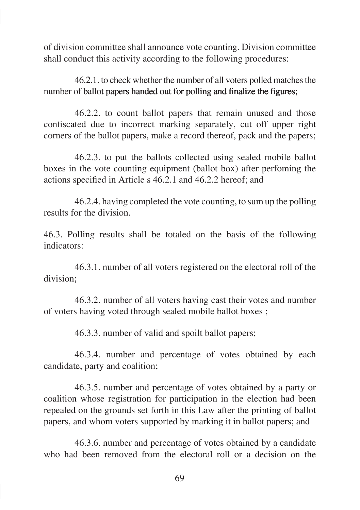of division committee shall announce vote counting. Division committee shall conduct this activity according to the following procedures:

46.2.1. to check whether the number of all voters polled matches the number of ballot papers handed out for polling and finalize the figures;

46.2.2. to count ballot papers that remain unused and those confiscated due to incorrect marking separately, cut off upper right corners of the ballot papers, make a record thereof, pack and the papers;

46.2.3. to put the ballots collected using sealed mobile ballot boxes in the vote counting equipment (ballot box) after perfoming the actions specified in Article s 46.2.1 and 46.2.2 hereof; and

46.2.4. having completed the vote counting, to sum up the polling results for the division.

46.3. Polling results shall be totaled on the basis of the following indicators:

46.3.1. number of all voters registered on the electoral roll of the division:

46.3.2. number of all voters having cast their votes and number of voters having voted through sealed mobile ballot boxes ;

46.3.3. number of valid and spoilt ballot papers;

46.3.4. number and percentage of votes obtained by each candidate, party and coalition;

46.3.5. number and percentage of votes obtained by a party or coalition whose registration for participation in the election had been repealed on the grounds set forth in this Law after the printing of ballot papers, and whom voters supported by marking it in ballot papers; and

46.3.6. number and percentage of votes obtained by a candidate who had been removed from the electoral roll or a decision on the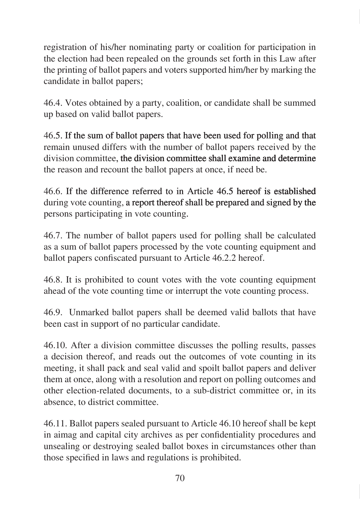registration of his/her nominating party or coalition for participation in the election had been repealed on the grounds set forth in this Law after the printing of ballot papers and voters supported him/her by marking the candidate in ballot papers;

46.4. Votes obtained by a party, coalition, or candidate shall be summed up based on valid ballot papers.

46.5. If the sum of ballot papers that have been used for polling and that remain unused differs with the number of ballot papers received by the division committee, the division committee shall examine and determine the reason and recount the ballot papers at once, if need be.

46.6. If the difference referred to in Article 46.5 hereof is established during vote counting, a report thereof shall be prepared and signed by the persons participating in vote counting.

46.7. The number of ballot papers used for polling shall be calculated as a sum of ballot papers processed by the vote counting equipment and ballot papers confiscated pursuant to Article 46.2.2 hereof.

46.8. It is prohibited to count votes with the vote counting equipment ahead of the vote counting time or interrupt the vote counting process.

46.9. Unmarked ballot papers shall be deemed valid ballots that have been cast in support of no particular candidate.

46.10. After a division committee discusses the polling results, passes a decision thereof, and reads out the outcomes of vote counting in its meeting, it shall pack and seal valid and spoilt ballot papers and deliver them at once, along with a resolution and report on polling outcomes and other election-related documents, to a sub-district committee or, in its absence, to district committee.

46.11. Ballot papers sealed pursuant to Article 46.10 hereof shall be kept in aimag and capital city archives as per confidentiality procedures and unsealing or destroying sealed ballot boxes in circumstances other than those specified in laws and regulations is prohibited.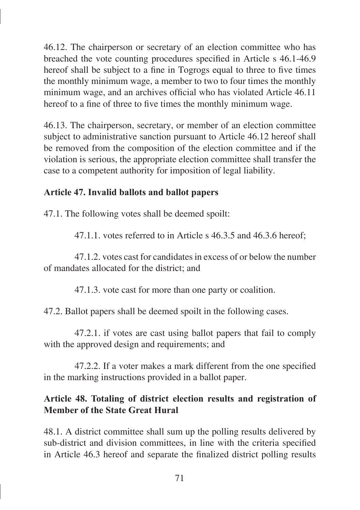46.12. The chairperson or secretary of an election committee who has breached the vote counting procedures specified in Article s 46.1-46.9 hereof shall be subject to a fine in Togrogs equal to three to five times the monthly minimum wage, a member to two to four times the monthly minimum wage, and an archives official who has violated Article 46.11 hereof to a fine of three to five times the monthly minimum wage.

46.13. The chairperson, secretary, or member of an election committee subject to administrative sanction pursuant to Article 46.12 hereof shall be removed from the composition of the election committee and if the violation is serious, the appropriate election committee shall transfer the case to a competent authority for imposition of legal liability.

## **Article 47. Invalid ballots and ballot papers**

47.1. The following votes shall be deemed spoilt:

47.1.1. votes referred to in Article s 46.3.5 and 46.3.6 hereof;

47.1.2. votes cast for candidates in excess of or below the number of mandates allocated for the district; and

47.1.3. vote cast for more than one party or coalition.

47.2. Ballot papers shall be deemed spoilt in the following cases.

47.2.1. if votes are cast using ballot papers that fail to comply with the approved design and requirements; and

47.2.2. If a voter makes a mark different from the one specified in the marking instructions provided in a ballot paper.

## **Article 48. Totaling of district election results and registration of Member of the State Great Hural**

48.1. A district committee shall sum up the polling results delivered by sub-district and division committees, in line with the criteria specified in Article 46.3 hereof and separate the finalized district polling results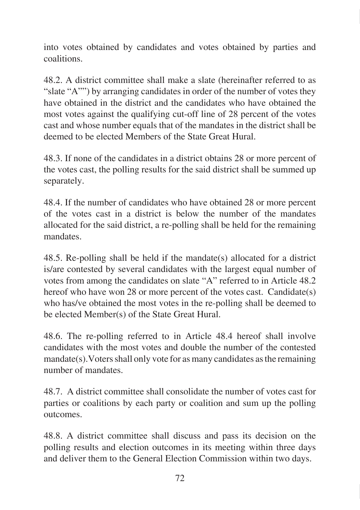into votes obtained by candidates and votes obtained by parties and coalitions.

48.2. A district committee shall make a slate (hereinafter referred to as "slate "A"") by arranging candidates in order of the number of votes they have obtained in the district and the candidates who have obtained the most votes against the qualifying cut-off line of 28 percent of the votes cast and whose number equals that of the mandates in the district shall be deemed to be elected Members of the State Great Hural.

48.3. If none of the candidates in a district obtains 28 or more percent of the votes cast, the polling results for the said district shall be summed up separately.

48.4. If the number of candidates who have obtained 28 or more percent of the votes cast in a district is below the number of the mandates allocated for the said district, a re-polling shall be held for the remaining mandates.

48.5. Re-polling shall be held if the mandate(s) allocated for a district is/are contested by several candidates with the largest equal number of votes from among the candidates on slate "A" referred to in Article 48.2 hereof who have won 28 or more percent of the votes cast. Candidate(s) who has/ve obtained the most votes in the re-polling shall be deemed to be elected Member(s) of the State Great Hural.

48.6. The re-polling referred to in Article 48.4 hereof shall involve candidates with the most votes and double the number of the contested mandate(s).Voters shall only vote for as many candidates as the remaining number of mandates.

48.7. A district committee shall consolidate the number of votes cast for parties or coalitions by each party or coalition and sum up the polling outcomes.

48.8. A district committee shall discuss and pass its decision on the polling results and election outcomes in its meeting within three days and deliver them to the General Election Commission within two days.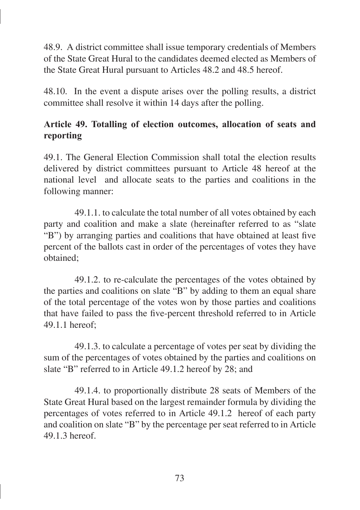48.9. A district committee shall issue temporary credentials of Members of the State Great Hural to the candidates deemed elected as Members of the State Great Hural pursuant to Articles 48.2 and 48.5 hereof.

48.10. In the event a dispute arises over the polling results, a district committee shall resolve it within 14 days after the polling.

# **Article 49. Totalling of election outcomes, allocation of seats and reporting**

49.1. The General Election Commission shall total the election results delivered by district committees pursuant to Article 48 hereof at the national level and allocate seats to the parties and coalitions in the following manner:

49.1.1. to calculate the total number of all votes obtained by each party and coalition and make a slate (hereinafter referred to as "slate "B") by arranging parties and coalitions that have obtained at least five percent of the ballots cast in order of the percentages of votes they have obtained;

49.1.2. to re-calculate the percentages of the votes obtained by the parties and coalitions on slate "B" by adding to them an equal share of the total percentage of the votes won by those parties and coalitions that have failed to pass the five-percent threshold referred to in Article  $49.1.1$  hereof:

49.1.3. to calculate a percentage of votes per seat by dividing the sum of the percentages of votes obtained by the parties and coalitions on slate "B" referred to in Article 49.1.2 hereof by 28; and

49.1.4. to proportionally distribute 28 seats of Members of the State Great Hural based on the largest remainder formula by dividing the percentages of votes referred to in Article 49.1.2 hereof of each party and coalition on slate "B" by the percentage per seat referred to in Article 49.1.3 hereof.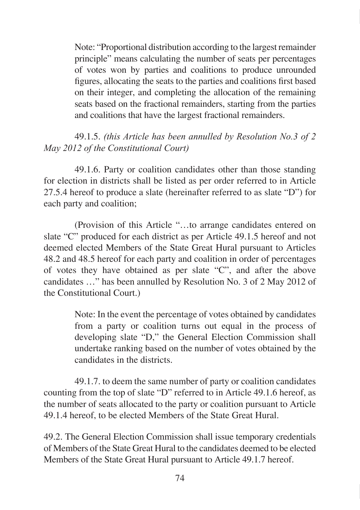Note: "Proportional distribution according to the largest remainder principle" means calculating the number of seats per percentages of votes won by parties and coalitions to produce unrounded figures, allocating the seats to the parties and coalitions first based on their integer, and completing the allocation of the remaining seats based on the fractional remainders, starting from the parties and coalitions that have the largest fractional remainders.

### 49.1.5. *(this Article has been annulled by Resolution No.3 of 2 May 2012 of the Constitutional Court)*

49.1.6. Party or coalition candidates other than those standing for election in districts shall be listed as per order referred to in Article 27.5.4 hereof to produce a slate (hereinafter referred to as slate "D") for each party and coalition;

(Provision of this Article "…to arrange candidates entered on slate "C" produced for each district as per Article 49.1.5 hereof and not deemed elected Members of the State Great Hural pursuant to Articles 48.2 and 48.5 hereof for each party and coalition in order of percentages of votes they have obtained as per slate "C", and after the above candidates …" has been annulled by Resolution No. 3 of 2 May 2012 of the Constitutional Court.)

> Note: In the event the percentage of votes obtained by candidates from a party or coalition turns out equal in the process of developing slate "D," the General Election Commission shall undertake ranking based on the number of votes obtained by the candidates in the districts.

49.1.7. to deem the same number of party or coalition candidates counting from the top of slate "D" referred to in Article 49.1.6 hereof, as the number of seats allocated to the party or coalition pursuant to Article 49.1.4 hereof, to be elected Members of the State Great Hural.

49.2. The General Election Commission shall issue temporary credentials of Members of the State Great Hural to the candidates deemed to be elected Members of the State Great Hural pursuant to Article 49.1.7 hereof.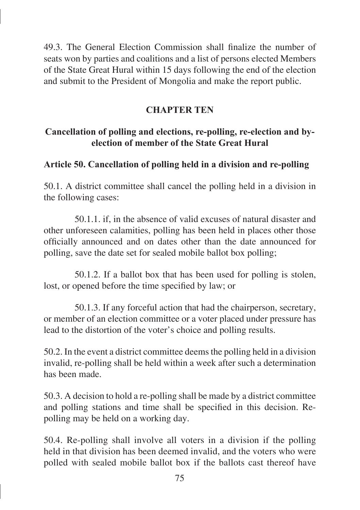49.3. The General Election Commission shall finalize the number of seats won by parties and coalitions and a list of persons elected Members of the State Great Hural within 15 days following the end of the election and submit to the President of Mongolia and make the report public.

### **CHAPTER TEN**

## **Cancellation of polling and elections, re-polling, re-election and byelection of member of the State Great Hural**

# **Article 50. Cancellation of polling held in a division and re-polling**

50.1. A district committee shall cancel the polling held in a division in the following cases:

50.1.1. if, in the absence of valid excuses of natural disaster and other unforeseen calamities, polling has been held in places other those officially announced and on dates other than the date announced for polling, save the date set for sealed mobile ballot box polling;

50.1.2. If a ballot box that has been used for polling is stolen, lost, or opened before the time specified by law; or

50.1.3. If any forceful action that had the chairperson, secretary, or member of an election committee or a voter placed under pressure has lead to the distortion of the voter's choice and polling results.

50.2. In the event a district committee deems the polling held in a division invalid, re-polling shall be held within a week after such a determination has been made.

50.3. A decision to hold a re-polling shall be made by a district committee and polling stations and time shall be specified in this decision. Repolling may be held on a working day.

50.4. Re-polling shall involve all voters in a division if the polling held in that division has been deemed invalid, and the voters who were polled with sealed mobile ballot box if the ballots cast thereof have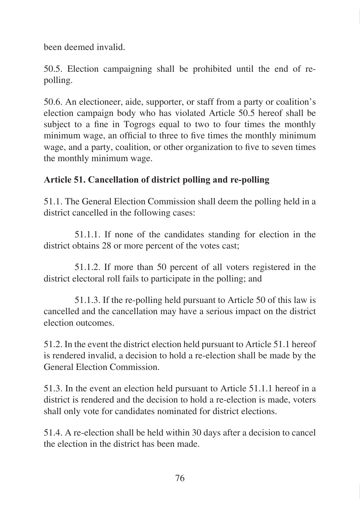been deemed invalid.

50.5. Election campaigning shall be prohibited until the end of repolling.

50.6. An electioneer, aide, supporter, or staff from a party or coalition's election campaign body who has violated Article 50.5 hereof shall be subject to a fine in Togrogs equal to two to four times the monthly minimum wage, an official to three to five times the monthly minimum wage, and a party, coalition, or other organization to five to seven times the monthly minimum wage.

# **Article 51. Cancellation of district polling and re-polling**

51.1. The General Election Commission shall deem the polling held in a district cancelled in the following cases:

51.1.1. If none of the candidates standing for election in the district obtains 28 or more percent of the votes cast;

51.1.2. If more than 50 percent of all voters registered in the district electoral roll fails to participate in the polling; and

51.1.3. If the re-polling held pursuant to Article 50 of this law is cancelled and the cancellation may have a serious impact on the district election outcomes.

51.2. In the event the district election held pursuant to Article 51.1 hereof is rendered invalid, a decision to hold a re-election shall be made by the General Election Commission.

51.3. In the event an election held pursuant to Article 51.1.1 hereof in a district is rendered and the decision to hold a re-election is made, voters shall only vote for candidates nominated for district elections.

51.4. A re-election shall be held within 30 days after a decision to cancel the election in the district has been made.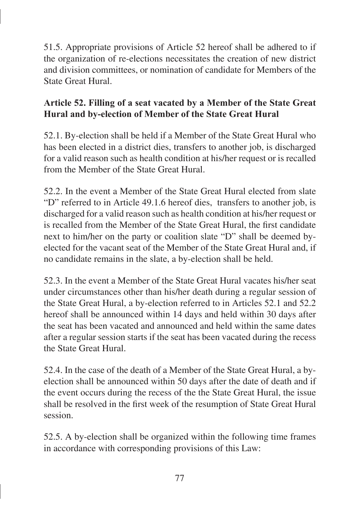51.5. Appropriate provisions of Article 52 hereof shall be adhered to if the organization of re-elections necessitates the creation of new district and division committees, or nomination of candidate for Members of the State Great Hural.

# **Article 52. Filling of a seat vacated by a Member of the State Great Hural and by-election of Member of the State Great Hural**

52.1. By-election shall be held if a Member of the State Great Hural who has been elected in a district dies, transfers to another job, is discharged for a valid reason such as health condition at his/her request or is recalled from the Member of the State Great Hural.

52.2. In the event a Member of the State Great Hural elected from slate "D" referred to in Article 49.1.6 hereof dies, transfers to another job, is discharged for a valid reason such as health condition at his/her request or is recalled from the Member of the State Great Hural, the first candidate next to him/her on the party or coalition slate "D" shall be deemed byelected for the vacant seat of the Member of the State Great Hural and, if no candidate remains in the slate, a by-election shall be held.

52.3. In the event a Member of the State Great Hural vacates his/her seat under circumstances other than his/her death during a regular session of the State Great Hural, a by-election referred to in Articles 52.1 and 52.2 hereof shall be announced within 14 days and held within 30 days after the seat has been vacated and announced and held within the same dates after a regular session starts if the seat has been vacated during the recess the State Great Hural.

52.4. In the case of the death of a Member of the State Great Hural, a byelection shall be announced within 50 days after the date of death and if the event occurs during the recess of the the State Great Hural, the issue shall be resolved in the first week of the resumption of State Great Hural session.

52.5. A by-election shall be organized within the following time frames in accordance with corresponding provisions of this Law: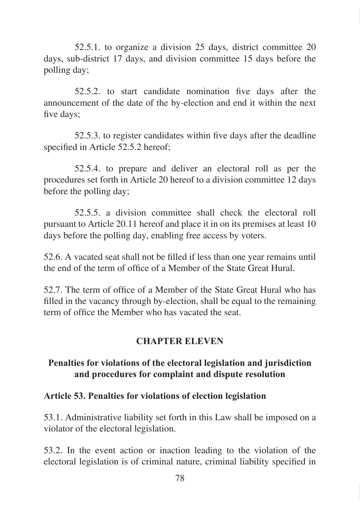52.5.1. to organize a division 25 days, district committee 20 days, sub-district 17 days, and division committee 15 days before the polling day;

52.5.2. to start candidate nomination five days after the announcement of the date of the by-election and end it within the next five days;

52.5.3. to register candidates within five days after the deadline specified in Article 52.5.2 hereof:

52.5.4. to prepare and deliver an electoral roll as per the procedures set forth in Article 20 hereof to a division committee 12 days before the polling day;

52.5.5. a division committee shall check the electoral roll pursuant to Article 20.11 hereof and place it in on its premises at least 10 days before the polling day, enabling free access by voters.

52.6. A vacated seat shall not be filled if less than one year remains until the end of the term of office of a Member of the State Great Hural.

52.7. The term of office of a Member of the State Great Hural who has filled in the vacancy through by-election, shall be equal to the remaining term of office the Member who has vacated the seat.

### **CHAPTER ELEVEN**

### **Penalties for violations of the electoral legislation and jurisdiction and procedures for complaint and dispute resolution**

#### **Article 53. Penalties for violations of election legislation**

53.1. Administrative liability set forth in this Law shall be imposed on a violator of the electoral legislation.

53.2. In the event action or inaction leading to the violation of the electoral legislation is of criminal nature, criminal liability specified in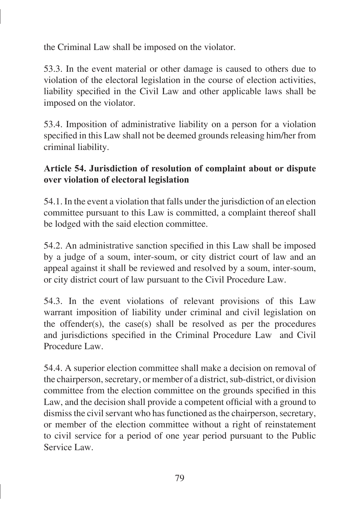the Criminal Law shall be imposed on the violator.

53.3. In the event material or other damage is caused to others due to violation of the electoral legislation in the course of election activities, liability specified in the Civil Law and other applicable laws shall be imposed on the violator.

53.4. Imposition of administrative liability on a person for a violation specified in this Law shall not be deemed grounds releasing him/her from criminal liability.

## **Article 54. Jurisdiction of resolution of complaint about or dispute over violation of electoral legislation**

54.1. In the event a violation that falls under the jurisdiction of an election committee pursuant to this Law is committed, a complaint thereof shall be lodged with the said election committee.

54.2. An administrative sanction specified in this Law shall be imposed by a judge of a soum, inter-soum, or city district court of law and an appeal against it shall be reviewed and resolved by a soum, inter-soum, or city district court of law pursuant to the Civil Procedure Law.

54.3. In the event violations of relevant provisions of this Law warrant imposition of liability under criminal and civil legislation on the offender(s), the case(s) shall be resolved as per the procedures and jurisdictions specified in the Criminal Procedure Law and Civil Procedure Law.

54.4. A superior election committee shall make a decision on removal of the chairperson, secretary, or member of a district, sub-district, or division committee from the election committee on the grounds specified in this Law, and the decision shall provide a competent official with a ground to dismiss the civil servant who has functioned as the chairperson, secretary, or member of the election committee without a right of reinstatement to civil service for a period of one year period pursuant to the Public Service Law.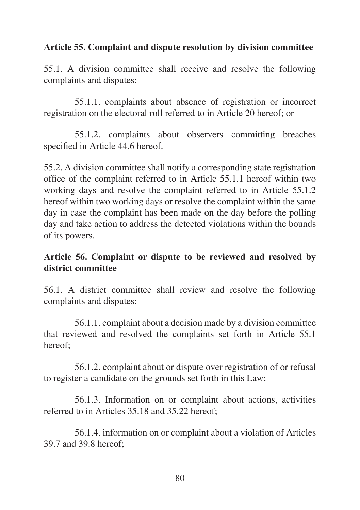### **Article 55. Complaint and dispute resolution by division committee**

55.1. A division committee shall receive and resolve the following complaints and disputes:

55.1.1. complaints about absence of registration or incorrect registration on the electoral roll referred to in Article 20 hereof; or

55.1.2. complaints about observers committing breaches specified in Article 44.6 hereof.

55.2. A division committee shall notify a corresponding state registration office of the complaint referred to in Article 55.1.1 hereof within two working days and resolve the complaint referred to in Article 55.1.2 hereof within two working days or resolve the complaint within the same day in case the complaint has been made on the day before the polling day and take action to address the detected violations within the bounds of its powers.

### **Article 56. Complaint or dispute to be reviewed and resolved by district committee**

56.1. A district committee shall review and resolve the following complaints and disputes:

56.1.1. complaint about a decision made by a division committee that reviewed and resolved the complaints set forth in Article 55.1 hereof;

56.1.2. complaint about or dispute over registration of or refusal to register a candidate on the grounds set forth in this Law;

56.1.3. Information on or complaint about actions, activities referred to in Articles 35.18 and 35.22 hereof;

56.1.4. information on or complaint about a violation of Articles 39.7 and 39.8 hereof;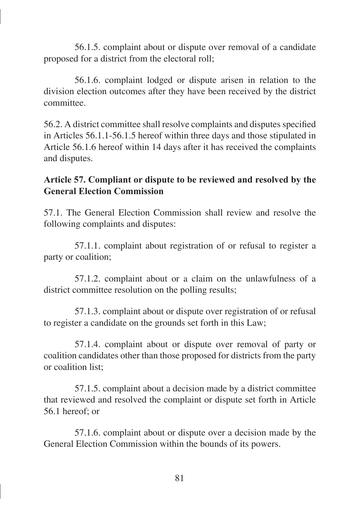56.1.5. complaint about or dispute over removal of a candidate proposed for a district from the electoral roll;

56.1.6. complaint lodged or dispute arisen in relation to the division election outcomes after they have been received by the district committee.

56.2. A district committee shall resolve complaints and disputes specified in Articles 56.1.1-56.1.5 hereof within three days and those stipulated in Article 56.1.6 hereof within 14 days after it has received the complaints and disputes.

### **Article 57. Compliant or dispute to be reviewed and resolved by the General Election Commission**

57.1. The General Election Commission shall review and resolve the following complaints and disputes:

57.1.1. complaint about registration of or refusal to register a party or coalition;

57.1.2. complaint about or a claim on the unlawfulness of a district committee resolution on the polling results;

57.1.3. complaint about or dispute over registration of or refusal to register a candidate on the grounds set forth in this Law;

57.1.4. complaint about or dispute over removal of party or coalition candidates other than those proposed for districts from the party or coalition list;

57.1.5. complaint about a decision made by a district committee that reviewed and resolved the complaint or dispute set forth in Article 56.1 hereof; or

57.1.6. complaint about or dispute over a decision made by the General Election Commission within the bounds of its powers.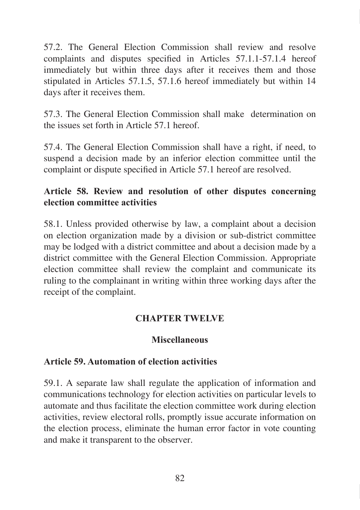57.2. The General Election Commission shall review and resolve complaints and disputes specified in Articles 57.1.1-57.1.4 hereof immediately but within three days after it receives them and those stipulated in Articles 57.1.5, 57.1.6 hereof immediately but within 14 days after it receives them.

57.3. The General Election Commission shall make determination on the issues set forth in Article 57.1 hereof.

57.4. The General Election Commission shall have a right, if need, to suspend a decision made by an inferior election committee until the complaint or dispute specified in Article 57.1 hereof are resolved.

## **Article 58. Review and resolution of other disputes concerning election committee activities**

58.1. Unless provided otherwise by law, a complaint about a decision on election organization made by a division or sub-district committee may be lodged with a district committee and about a decision made by a district committee with the General Election Commission. Appropriate election committee shall review the complaint and communicate its ruling to the complainant in writing within three working days after the receipt of the complaint.

### **CHAPTER TWELVE**

### **Miscellaneous**

### **Article 59. Automation of election activities**

59.1. A separate law shall regulate the application of information and communications technology for election activities on particular levels to automate and thus facilitate the election committee work during election activities, review electoral rolls, promptly issue accurate information on the election process, eliminate the human error factor in vote counting and make it transparent to the observer.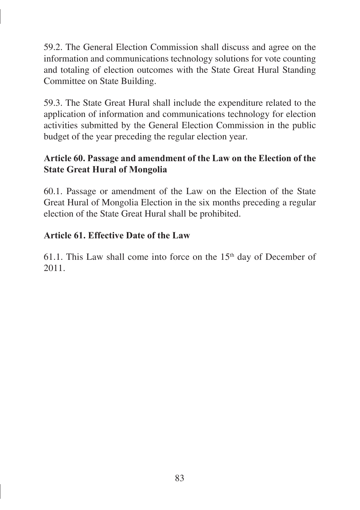59.2. The General Election Commission shall discuss and agree on the information and communications technology solutions for vote counting and totaling of election outcomes with the State Great Hural Standing Committee on State Building.

59.3. The State Great Hural shall include the expenditure related to the application of information and communications technology for election activities submitted by the General Election Commission in the public budget of the year preceding the regular election year.

## **Article 60. Passage and amendment of the Law on the Election of the State Great Hural of Mongolia**

60.1. Passage or amendment of the Law on the Election of the State Great Hural of Mongolia Election in the six months preceding a regular election of the State Great Hural shall be prohibited.

# **Article 61. Effective Date of the Law**

61.1. This Law shall come into force on the  $15<sup>th</sup>$  day of December of 2011.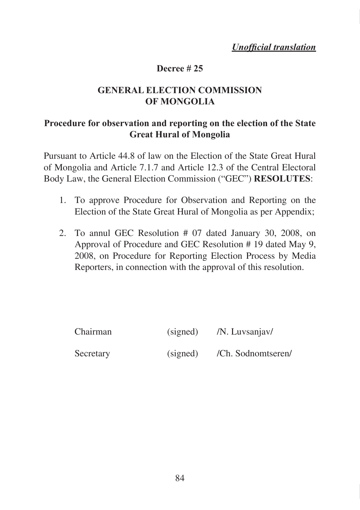*Unofficial translation*

#### **Decree # 25**

### **GENERAL ELECTION COMMISSION OF MONGOLIA**

### **Procedure for observation and reporting on the election of the State Great Hural of Mongolia**

Pursuant to Article 44.8 of law on the Election of the State Great Hural of Mongolia and Article 7.1.7 and Article 12.3 of the Central Electoral Body Law, the General Election Commission ("GEC") **RESOLUTES**:

- 1. To approve Procedure for Observation and Reporting on the Election of the State Great Hural of Mongolia as per Appendix;
- 2. To annul GEC Resolution # 07 dated January 30, 2008, on Approval of Procedure and GEC Resolution # 19 dated May 9, 2008, on Procedure for Reporting Election Process by Media Reporters, in connection with the approval of this resolution.

| Chairman  | (signed) | /N. Luvsanjav/     |
|-----------|----------|--------------------|
| Secretary | (signed) | /Ch. Sodnomtseren/ |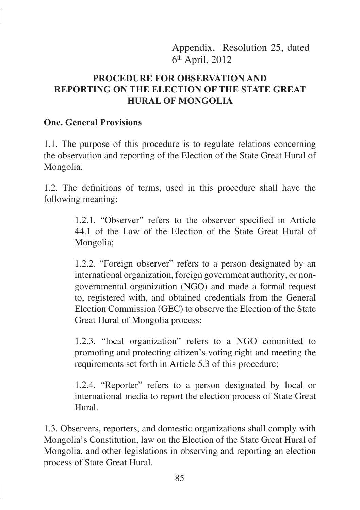Appendix, Resolution 25, dated 6th April, 2012

### **PROCEDURE FOR OBSERVATION AND REPORTING ON THE ELECTION OF THE STATE GREAT HURAL OF MONGOLIA**

#### **One. General Provisions**

1.1. The purpose of this procedure is to regulate relations concerning the observation and reporting of the Election of the State Great Hural of Mongolia.

1.2. The definitions of terms, used in this procedure shall have the following meaning:

> 1.2.1. "Observer" refers to the observer specified in Article 44.1 of the Law of the Election of the State Great Hural of Mongolia;

> 1.2.2. "Foreign observer" refers to a person designated by an international organization, foreign government authority, or nongovernmental organization (NGO) and made a formal request to, registered with, and obtained credentials from the General Election Commission (GEC) to observe the Election of the State Great Hural of Mongolia process;

> 1.2.3. "local organization" refers to a NGO committed to promoting and protecting citizen's voting right and meeting the requirements set forth in Article 5.3 of this procedure;

> 1.2.4. "Reporter" refers to a person designated by local or international media to report the election process of State Great Hural.

1.3. Observers, reporters, and domestic organizations shall comply with Mongolia's Constitution, law on the Election of the State Great Hural of Mongolia, and other legislations in observing and reporting an election process of State Great Hural.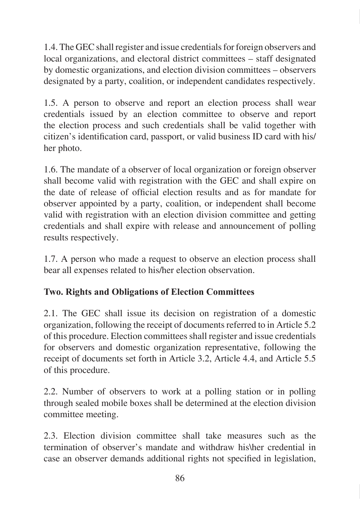1.4. The GEC shall register and issue credentials for foreign observers and local organizations, and electoral district committees – staff designated by domestic organizations, and election division committees – observers designated by a party, coalition, or independent candidates respectively.

1.5. A person to observe and report an election process shall wear credentials issued by an election committee to observe and report the election process and such credentials shall be valid together with citizen's identification card, passport, or valid business ID card with his/ her photo.

1.6. The mandate of a observer of local organization or foreign observer shall become valid with registration with the GEC and shall expire on the date of release of official election results and as for mandate for observer appointed by a party, coalition, or independent shall become valid with registration with an election division committee and getting credentials and shall expire with release and announcement of polling results respectively.

1.7. A person who made a request to observe an election process shall bear all expenses related to his/her election observation.

# **Two. Rights and Obligations of Election Committees**

2.1. The GEC shall issue its decision on registration of a domestic organization, following the receipt of documents referred to in Article 5.2 of this procedure. Election committees shall register and issue credentials for observers and domestic organization representative, following the receipt of documents set forth in Article 3.2, Article 4.4, and Article 5.5 of this procedure.

2.2. Number of observers to work at a polling station or in polling through sealed mobile boxes shall be determined at the election division committee meeting.

2.3. Election division committee shall take measures such as the termination of observer's mandate and withdraw his\her credential in case an observer demands additional rights not specified in legislation,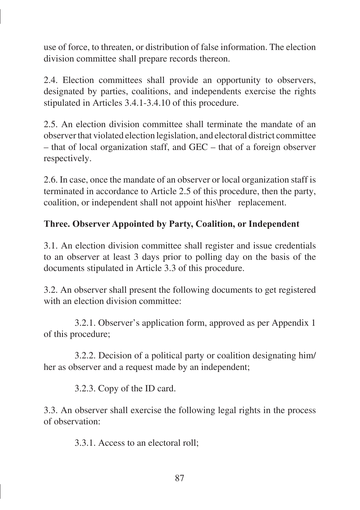use of force, to threaten, or distribution of false information. The election division committee shall prepare records thereon.

2.4. Election committees shall provide an opportunity to observers, designated by parties, coalitions, and independents exercise the rights stipulated in Articles 3.4.1-3.4.10 of this procedure.

2.5. An election division committee shall terminate the mandate of an observer that violated election legislation, and electoral district committee – that of local organization staff, and GEC – that of a foreign observer respectively.

2.6. In case, once the mandate of an observer or local organization staff is terminated in accordance to Article 2.5 of this procedure, then the party, coalition, or independent shall not appoint his\her replacement.

## **Three. Observer Appointed by Party, Coalition, or Independent**

3.1. An election division committee shall register and issue credentials to an observer at least 3 days prior to polling day on the basis of the documents stipulated in Article 3.3 of this procedure.

3.2. An observer shall present the following documents to get registered with an election division committee:

3.2.1. Observer's application form, approved as per Appendix 1 of this procedure;

3.2.2. Decision of a political party or coalition designating him/ her as observer and a request made by an independent;

3.2.3. Copy of the ID card.

3.3. An observer shall exercise the following legal rights in the process of observation:

3.3.1. Access to an electoral roll;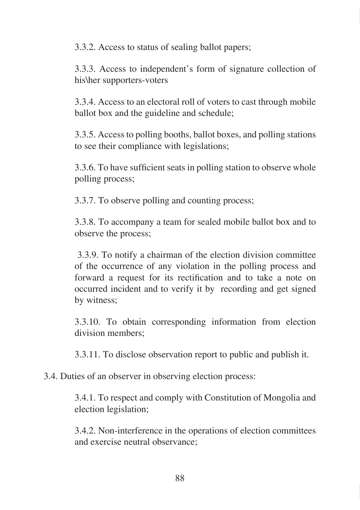3.3.2. Access to status of sealing ballot papers;

3.3.3. Access to independent's form of signature collection of his\her supporters-voters

3.3.4. Access to an electoral roll of voters to cast through mobile ballot box and the guideline and schedule;

3.3.5. Access to polling booths, ballot boxes, and polling stations to see their compliance with legislations;

3.3.6. To have sufficient seats in polling station to observe whole polling process;

3.3.7. To observe polling and counting process;

3.3.8. To accompany a team for sealed mobile ballot box and to observe the process;

 3.3.9. To notify a chairman of the election division committee of the occurrence of any violation in the polling process and forward a request for its rectification and to take a note on occurred incident and to verify it by recording and get signed by witness;

3.3.10. To obtain corresponding information from election division members;

3.3.11. To disclose observation report to public and publish it.

3.4. Duties of an observer in observing election process:

3.4.1. To respect and comply with Constitution of Mongolia and election legislation;

3.4.2. Non-interference in the operations of election committees and exercise neutral observance;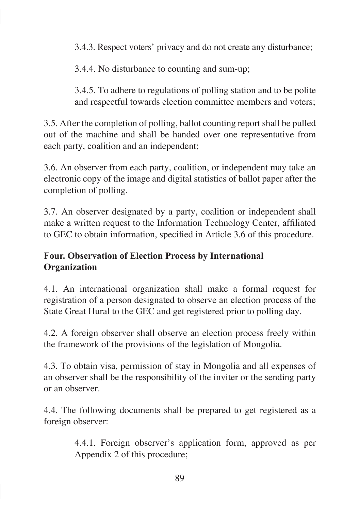3.4.3. Respect voters' privacy and do not create any disturbance;

3.4.4. No disturbance to counting and sum-up;

3.4.5. To adhere to regulations of polling station and to be polite and respectful towards election committee members and voters;

3.5. After the completion of polling, ballot counting report shall be pulled out of the machine and shall be handed over one representative from each party, coalition and an independent;

3.6. An observer from each party, coalition, or independent may take an electronic copy of the image and digital statistics of ballot paper after the completion of polling.

3.7. An observer designated by a party, coalition or independent shall make a written request to the Information Technology Center, affiliated to GEC to obtain information, specified in Article 3.6 of this procedure.

# **Four. Observation of Election Process by International Organization**

4.1. An international organization shall make a formal request for registration of a person designated to observe an election process of the State Great Hural to the GEC and get registered prior to polling day.

4.2. A foreign observer shall observe an election process freely within the framework of the provisions of the legislation of Mongolia.

4.3. To obtain visa, permission of stay in Mongolia and all expenses of an observer shall be the responsibility of the inviter or the sending party or an observer.

4.4. The following documents shall be prepared to get registered as a foreign observer:

> 4.4.1. Foreign observer's application form, approved as per Appendix 2 of this procedure;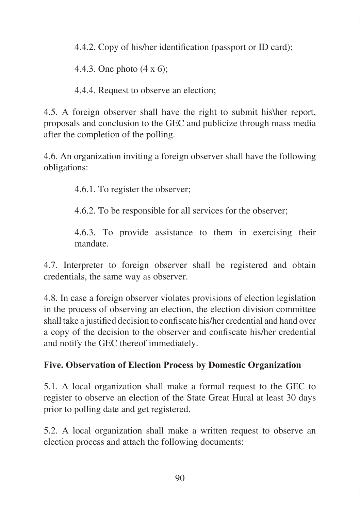4.4.2. Copy of his/her identification (passport or ID card);

4.4.3. One photo (4 x 6);

4.4.4. Request to observe an election;

4.5. A foreign observer shall have the right to submit his\her report, proposals and conclusion to the GEC and publicize through mass media after the completion of the polling.

4.6. An organization inviting a foreign observer shall have the following obligations:

4.6.1. To register the observer;

4.6.2. To be responsible for all services for the observer;

4.6.3. To provide assistance to them in exercising their mandate.

4.7. Interpreter to foreign observer shall be registered and obtain credentials, the same way as observer.

4.8. In case a foreign observer violates provisions of election legislation in the process of observing an election, the election division committee shall take a justified decision to confiscate his/her credential and hand over a copy of the decision to the observer and confiscate his/her credential and notify the GEC thereof immediately.

# **Five. Observation of Election Process by Domestic Organization**

5.1. A local organization shall make a formal request to the GEC to register to observe an election of the State Great Hural at least 30 days prior to polling date and get registered.

5.2. A local organization shall make a written request to observe an election process and attach the following documents: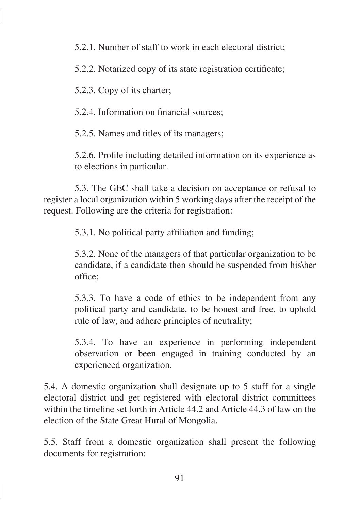5.2.1. Number of staff to work in each electoral district;

5.2.2. Notarized copy of its state registration certificate;

5.2.3. Copy of its charter;

5.2.4. Information on financial sources;

5.2.5. Names and titles of its managers;

5.2.6. Profile including detailed information on its experience as to elections in particular.

5.3. The GEC shall take a decision on acceptance or refusal to register a local organization within 5 working days after the receipt of the request. Following are the criteria for registration:

5.3.1. No political party affiliation and funding;

5.3.2. None of the managers of that particular organization to be candidate, if a candidate then should be suspended from his\her office;

5.3.3. To have a code of ethics to be independent from any political party and candidate, to be honest and free, to uphold rule of law, and adhere principles of neutrality;

5.3.4. To have an experience in performing independent observation or been engaged in training conducted by an experienced organization.

5.4. A domestic organization shall designate up to 5 staff for a single electoral district and get registered with electoral district committees within the timeline set forth in Article 44.2 and Article 44.3 of law on the election of the State Great Hural of Mongolia.

5.5. Staff from a domestic organization shall present the following documents for registration: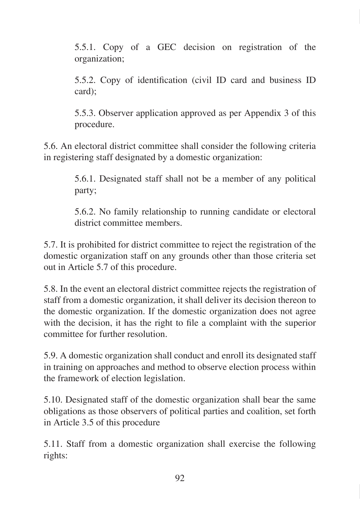5.5.1. Copy of a GEC decision on registration of the organization;

5.5.2. Copy of identification (civil ID card and business ID card);

5.5.3. Observer application approved as per Appendix 3 of this procedure.

5.6. An electoral district committee shall consider the following criteria in registering staff designated by a domestic organization:

> 5.6.1. Designated staff shall not be a member of any political party;

> 5.6.2. No family relationship to running candidate or electoral district committee members.

5.7. It is prohibited for district committee to reject the registration of the domestic organization staff on any grounds other than those criteria set out in Article 5.7 of this procedure.

5.8. In the event an electoral district committee rejects the registration of staff from a domestic organization, it shall deliver its decision thereon to the domestic organization. If the domestic organization does not agree with the decision, it has the right to file a complaint with the superior committee for further resolution.

5.9. A domestic organization shall conduct and enroll its designated staff in training on approaches and method to observe election process within the framework of election legislation.

5.10. Designated staff of the domestic organization shall bear the same obligations as those observers of political parties and coalition, set forth in Article 3.5 of this procedure

5.11. Staff from a domestic organization shall exercise the following rights: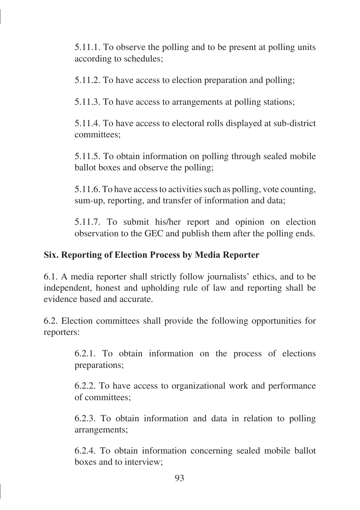5.11.1. To observe the polling and to be present at polling units according to schedules;

5.11.2. To have access to election preparation and polling;

5.11.3. To have access to arrangements at polling stations;

5.11.4. To have access to electoral rolls displayed at sub-district committees;

5.11.5. To obtain information on polling through sealed mobile ballot boxes and observe the polling;

5.11.6. To have access to activities such as polling, vote counting, sum-up, reporting, and transfer of information and data;

5.11.7. To submit his/her report and opinion on election observation to the GEC and publish them after the polling ends.

## **Six. Reporting of Election Process by Media Reporter**

6.1. A media reporter shall strictly follow journalists' ethics, and to be independent, honest and upholding rule of law and reporting shall be evidence based and accurate.

6.2. Election committees shall provide the following opportunities for reporters:

> 6.2.1. To obtain information on the process of elections preparations;

> 6.2.2. To have access to organizational work and performance of committees;

> 6.2.3. To obtain information and data in relation to polling arrangements;

> 6.2.4. To obtain information concerning sealed mobile ballot boxes and to interview;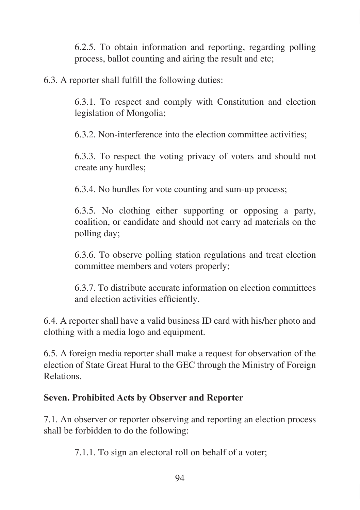6.2.5. To obtain information and reporting, regarding polling process, ballot counting and airing the result and etc;

6.3. A reporter shall fulfill the following duties:

6.3.1. To respect and comply with Constitution and election legislation of Mongolia;

6.3.2. Non-interference into the election committee activities;

6.3.3. To respect the voting privacy of voters and should not create any hurdles;

6.3.4. No hurdles for vote counting and sum-up process;

6.3.5. No clothing either supporting or opposing a party, coalition, or candidate and should not carry ad materials on the polling day;

6.3.6. To observe polling station regulations and treat election committee members and voters properly;

6.3.7. To distribute accurate information on election committees and election activities efficiently.

6.4. A reporter shall have a valid business ID card with his/her photo and clothing with a media logo and equipment.

6.5. A foreign media reporter shall make a request for observation of the election of State Great Hural to the GEC through the Ministry of Foreign Relations.

### **Seven. Prohibited Acts by Observer and Reporter**

7.1. An observer or reporter observing and reporting an election process shall be forbidden to do the following:

7.1.1. To sign an electoral roll on behalf of a voter;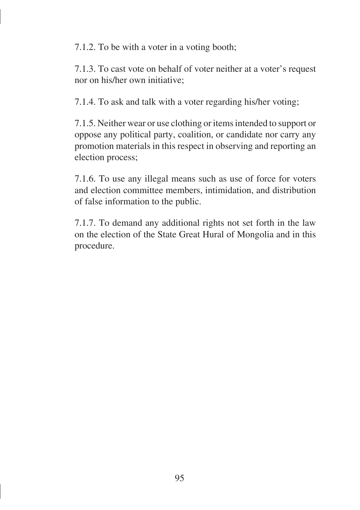7.1.2. To be with a voter in a voting booth;

7.1.3. To cast vote on behalf of voter neither at a voter's request nor on his/her own initiative;

7.1.4. To ask and talk with a voter regarding his/her voting;

7.1.5. Neither wear or use clothing or items intended to support or oppose any political party, coalition, or candidate nor carry any promotion materials in this respect in observing and reporting an election process;

7.1.6. To use any illegal means such as use of force for voters and election committee members, intimidation, and distribution of false information to the public.

7.1.7. To demand any additional rights not set forth in the law on the election of the State Great Hural of Mongolia and in this procedure.